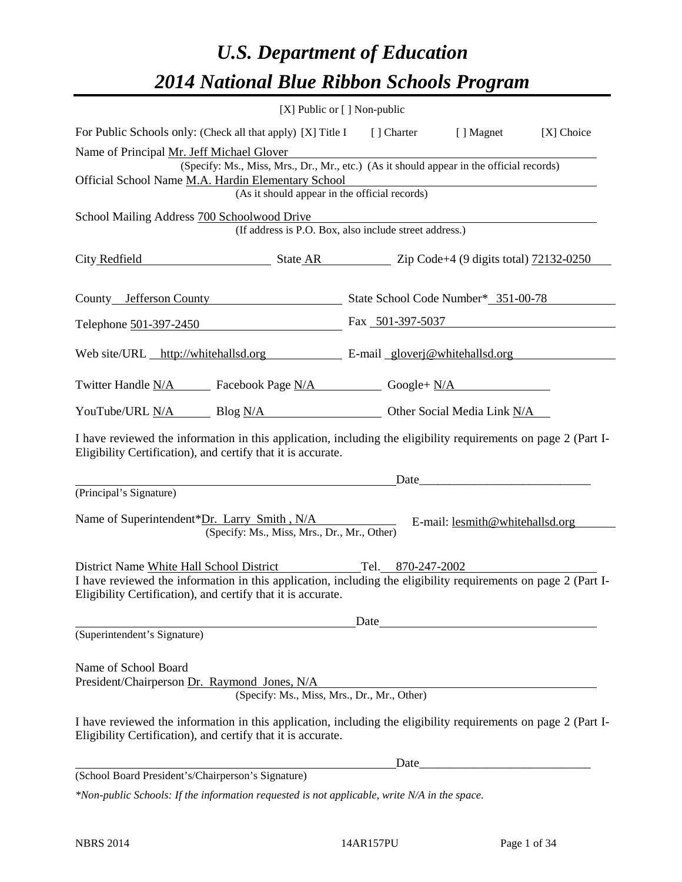# *U.S. Department of Education 2014 National Blue Ribbon Schools Program*

|                                                                                                                                                                                | [X] Public or [] Non-public                                                              |      |                                                                                                                                                                                                                               |            |
|--------------------------------------------------------------------------------------------------------------------------------------------------------------------------------|------------------------------------------------------------------------------------------|------|-------------------------------------------------------------------------------------------------------------------------------------------------------------------------------------------------------------------------------|------------|
| For Public Schools only: (Check all that apply) [X] Title I [] Charter [] Magnet                                                                                               |                                                                                          |      |                                                                                                                                                                                                                               | [X] Choice |
| Name of Principal Mr. Jeff Michael Glover                                                                                                                                      |                                                                                          |      |                                                                                                                                                                                                                               |            |
|                                                                                                                                                                                | (Specify: Ms., Miss, Mrs., Dr., Mr., etc.) (As it should appear in the official records) |      |                                                                                                                                                                                                                               |            |
| Official School Name M.A. Hardin Elementary School                                                                                                                             | (As it should appear in the official records)                                            |      |                                                                                                                                                                                                                               |            |
| School Mailing Address 700 Schoolwood Drive                                                                                                                                    |                                                                                          |      |                                                                                                                                                                                                                               |            |
|                                                                                                                                                                                | (If address is P.O. Box, also include street address.)                                   |      |                                                                                                                                                                                                                               |            |
| City Redfield State AR Zip Code+4 (9 digits total) 72132-0250                                                                                                                  |                                                                                          |      |                                                                                                                                                                                                                               |            |
| County Lefferson County State School Code Number* 351-00-78                                                                                                                    |                                                                                          |      |                                                                                                                                                                                                                               |            |
| Telephone 501-397-2450 Fax 501-397-5037                                                                                                                                        |                                                                                          |      |                                                                                                                                                                                                                               |            |
| Web site/URL http://whitehallsd.org E-mail gloverj@whitehallsd.org                                                                                                             |                                                                                          |      |                                                                                                                                                                                                                               |            |
| Twitter Handle <u>N/A</u> Facebook Page N/A Google+ N/A                                                                                                                        |                                                                                          |      |                                                                                                                                                                                                                               |            |
| YouTube/URL N/A Blog N/A Other Social Media Link N/A                                                                                                                           |                                                                                          |      |                                                                                                                                                                                                                               |            |
| I have reviewed the information in this application, including the eligibility requirements on page 2 (Part I-<br>Eligibility Certification), and certify that it is accurate. |                                                                                          |      |                                                                                                                                                                                                                               |            |
|                                                                                                                                                                                |                                                                                          |      | Date experience and the set of the set of the set of the set of the set of the set of the set of the set of the set of the set of the set of the set of the set of the set of the set of the set of the set of the set of the |            |
| (Principal's Signature)                                                                                                                                                        |                                                                                          |      |                                                                                                                                                                                                                               |            |
| Name of Superintendent*Dr. Larry Smith, N/A                                                                                                                                    | (Specify: Ms., Miss, Mrs., Dr., Mr., Other)                                              |      | E-mail: lesmith@whitehallsd.org                                                                                                                                                                                               |            |
| District Name White Hall School District Tel. 870-247-2002                                                                                                                     |                                                                                          |      |                                                                                                                                                                                                                               |            |
| I have reviewed the information in this application, including the eligibility requirements on page 2 (Part I-<br>Eligibility Certification), and certify that it is accurate. |                                                                                          |      |                                                                                                                                                                                                                               |            |
|                                                                                                                                                                                |                                                                                          | Date |                                                                                                                                                                                                                               |            |
| (Superintendent's Signature)                                                                                                                                                   |                                                                                          |      |                                                                                                                                                                                                                               |            |
| Name of School Board<br>President/Chairperson Dr. Raymond Jones, N/A                                                                                                           | (Specify: Ms., Miss, Mrs., Dr., Mr., Other)                                              |      |                                                                                                                                                                                                                               |            |
|                                                                                                                                                                                |                                                                                          |      |                                                                                                                                                                                                                               |            |
| I have reviewed the information in this application, including the eligibility requirements on page 2 (Part I-<br>Eligibility Certification), and certify that it is accurate. |                                                                                          |      |                                                                                                                                                                                                                               |            |
|                                                                                                                                                                                |                                                                                          | Date | <u> 1989 - Johann John Stone, mars eta biztanleria (</u>                                                                                                                                                                      |            |
| (School Board President's/Chairperson's Signature)                                                                                                                             |                                                                                          |      |                                                                                                                                                                                                                               |            |
| *Non-public Schools: If the information requested is not applicable, write N/A in the space.                                                                                   |                                                                                          |      |                                                                                                                                                                                                                               |            |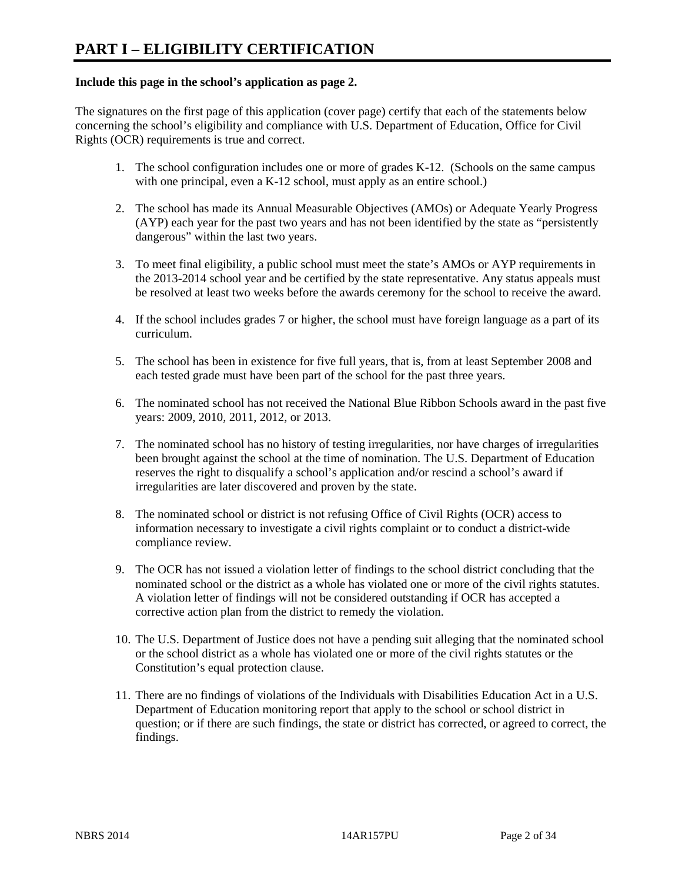# **Include this page in the school's application as page 2.**

The signatures on the first page of this application (cover page) certify that each of the statements below concerning the school's eligibility and compliance with U.S. Department of Education, Office for Civil Rights (OCR) requirements is true and correct.

- 1. The school configuration includes one or more of grades K-12. (Schools on the same campus with one principal, even a K-12 school, must apply as an entire school.)
- 2. The school has made its Annual Measurable Objectives (AMOs) or Adequate Yearly Progress (AYP) each year for the past two years and has not been identified by the state as "persistently dangerous" within the last two years.
- 3. To meet final eligibility, a public school must meet the state's AMOs or AYP requirements in the 2013-2014 school year and be certified by the state representative. Any status appeals must be resolved at least two weeks before the awards ceremony for the school to receive the award.
- 4. If the school includes grades 7 or higher, the school must have foreign language as a part of its curriculum.
- 5. The school has been in existence for five full years, that is, from at least September 2008 and each tested grade must have been part of the school for the past three years.
- 6. The nominated school has not received the National Blue Ribbon Schools award in the past five years: 2009, 2010, 2011, 2012, or 2013.
- 7. The nominated school has no history of testing irregularities, nor have charges of irregularities been brought against the school at the time of nomination. The U.S. Department of Education reserves the right to disqualify a school's application and/or rescind a school's award if irregularities are later discovered and proven by the state.
- 8. The nominated school or district is not refusing Office of Civil Rights (OCR) access to information necessary to investigate a civil rights complaint or to conduct a district-wide compliance review.
- 9. The OCR has not issued a violation letter of findings to the school district concluding that the nominated school or the district as a whole has violated one or more of the civil rights statutes. A violation letter of findings will not be considered outstanding if OCR has accepted a corrective action plan from the district to remedy the violation.
- 10. The U.S. Department of Justice does not have a pending suit alleging that the nominated school or the school district as a whole has violated one or more of the civil rights statutes or the Constitution's equal protection clause.
- 11. There are no findings of violations of the Individuals with Disabilities Education Act in a U.S. Department of Education monitoring report that apply to the school or school district in question; or if there are such findings, the state or district has corrected, or agreed to correct, the findings.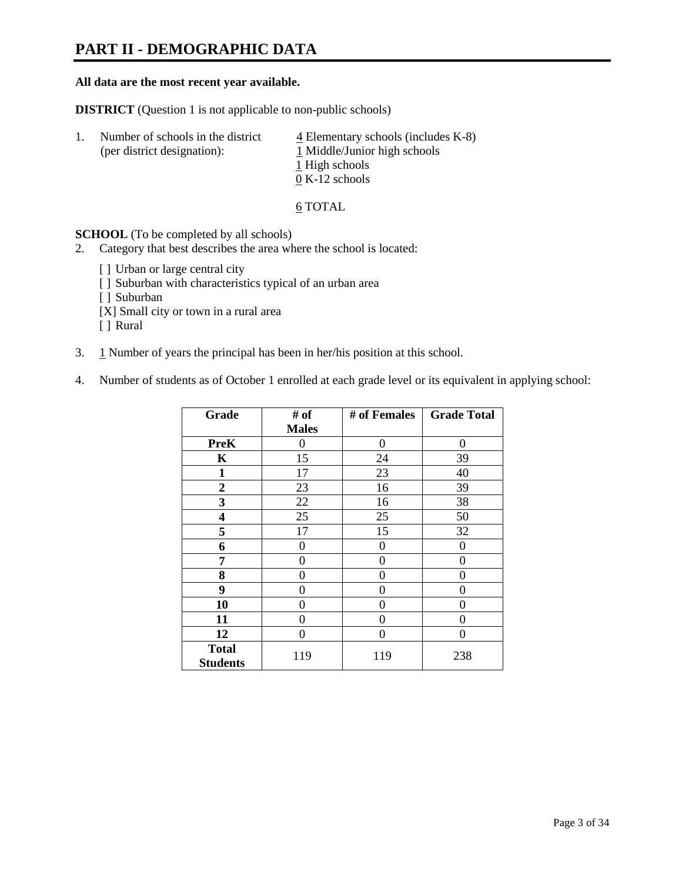# **PART II - DEMOGRAPHIC DATA**

#### **All data are the most recent year available.**

**DISTRICT** (Question 1 is not applicable to non-public schools)

| -1. | Number of schools in the district<br>(per district designation): | $\overline{4}$ Elementary schools (includes K-8)<br>1 Middle/Junior high schools |
|-----|------------------------------------------------------------------|----------------------------------------------------------------------------------|
|     |                                                                  | 1 High schools                                                                   |
|     |                                                                  | $0 K-12$ schools                                                                 |

6 TOTAL

**SCHOOL** (To be completed by all schools)

- 2. Category that best describes the area where the school is located:
	- [] Urban or large central city
	- [ ] Suburban with characteristics typical of an urban area
	- [ ] Suburban
	- [X] Small city or town in a rural area
	- [ ] Rural
- 3. 1 Number of years the principal has been in her/his position at this school.
- 4. Number of students as of October 1 enrolled at each grade level or its equivalent in applying school:

| Grade           | # of         | # of Females | <b>Grade Total</b> |
|-----------------|--------------|--------------|--------------------|
|                 | <b>Males</b> |              |                    |
| <b>PreK</b>     | 0            | $\theta$     | 0                  |
| K               | 15           | 24           | 39                 |
| $\mathbf{1}$    | 17           | 23           | 40                 |
| $\overline{2}$  | 23           | 16           | 39                 |
| 3               | 22           | 16           | 38                 |
| 4               | 25           | 25           | 50                 |
| 5               | 17           | 15           | 32                 |
| 6               | 0            | 0            | $\theta$           |
| 7               | 0            | 0            | 0                  |
| 8               | 0            | 0            | 0                  |
| 9               | 0            | 0            | 0                  |
| 10              | 0            | 0            | 0                  |
| 11              | 0            | 0            | 0                  |
| 12              | 0            | 0            | 0                  |
| <b>Total</b>    | 119          | 119          | 238                |
| <b>Students</b> |              |              |                    |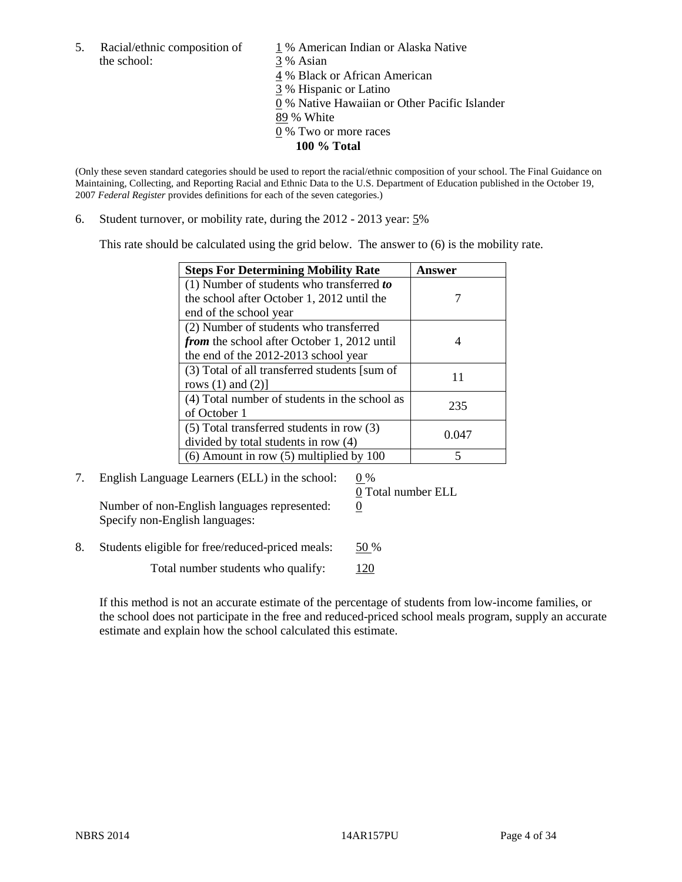5. Racial/ethnic composition of  $1\%$  American Indian or Alaska Native the school: 3 % Asian

 4 % Black or African American 3 % Hispanic or Latino 0 % Native Hawaiian or Other Pacific Islander 89 % White 0 % Two or more races **100 % Total** 

(Only these seven standard categories should be used to report the racial/ethnic composition of your school. The Final Guidance on Maintaining, Collecting, and Reporting Racial and Ethnic Data to the U.S. Department of Education published in the October 19, 2007 *Federal Register* provides definitions for each of the seven categories.)

6. Student turnover, or mobility rate, during the 2012 - 2013 year: 5%

This rate should be calculated using the grid below. The answer to (6) is the mobility rate.

| <b>Steps For Determining Mobility Rate</b>         | <b>Answer</b> |
|----------------------------------------------------|---------------|
| (1) Number of students who transferred to          |               |
| the school after October 1, 2012 until the         |               |
| end of the school year                             |               |
| (2) Number of students who transferred             |               |
| <i>from</i> the school after October 1, 2012 until |               |
| the end of the 2012-2013 school year               |               |
| (3) Total of all transferred students [sum of      | 11            |
| rows $(1)$ and $(2)$ ]                             |               |
| (4) Total number of students in the school as      | 235           |
| of October 1                                       |               |
| $(5)$ Total transferred students in row $(3)$      | 0.047         |
| divided by total students in row (4)               |               |
| $(6)$ Amount in row $(5)$ multiplied by 100        |               |

7. English Language Learners (ELL) in the school:  $0\%$ Number of non-English languages represented:  $0$ Specify non-English languages:

0 Total number ELL

8. Students eligible for free/reduced-priced meals: 50 %

Total number students who qualify: 120

If this method is not an accurate estimate of the percentage of students from low-income families, or the school does not participate in the free and reduced-priced school meals program, supply an accurate estimate and explain how the school calculated this estimate.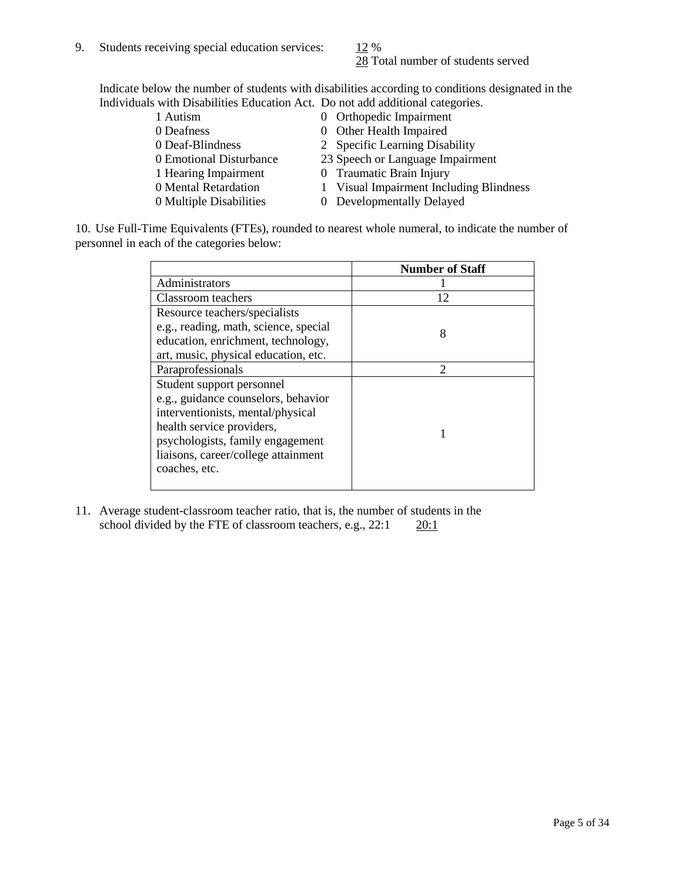28 Total number of students served

Indicate below the number of students with disabilities according to conditions designated in the Individuals with Disabilities Education Act. Do not add additional categories.

| 1 Autism                | 0 Orthopedic Impairment                 |
|-------------------------|-----------------------------------------|
| 0 Deafness              | 0 Other Health Impaired                 |
| 0 Deaf-Blindness        | 2 Specific Learning Disability          |
| 0 Emotional Disturbance | 23 Speech or Language Impairment        |
| 1 Hearing Impairment    | 0 Traumatic Brain Injury                |
| 0 Mental Retardation    | 1 Visual Impairment Including Blindness |
| 0 Multiple Disabilities | 0 Developmentally Delayed               |
|                         |                                         |

10. Use Full-Time Equivalents (FTEs), rounded to nearest whole numeral, to indicate the number of personnel in each of the categories below:

|                                       | <b>Number of Staff</b>      |
|---------------------------------------|-----------------------------|
| Administrators                        |                             |
| Classroom teachers                    | 12                          |
| Resource teachers/specialists         |                             |
| e.g., reading, math, science, special | 8                           |
| education, enrichment, technology,    |                             |
| art, music, physical education, etc.  |                             |
| Paraprofessionals                     | $\mathcal{D}_{\mathcal{L}}$ |
| Student support personnel             |                             |
| e.g., guidance counselors, behavior   |                             |
| interventionists, mental/physical     |                             |
| health service providers,             |                             |
| psychologists, family engagement      |                             |
| liaisons, career/college attainment   |                             |
| coaches, etc.                         |                             |
|                                       |                             |

11. Average student-classroom teacher ratio, that is, the number of students in the school divided by the FTE of classroom teachers, e.g.,  $22:1$   $20:1$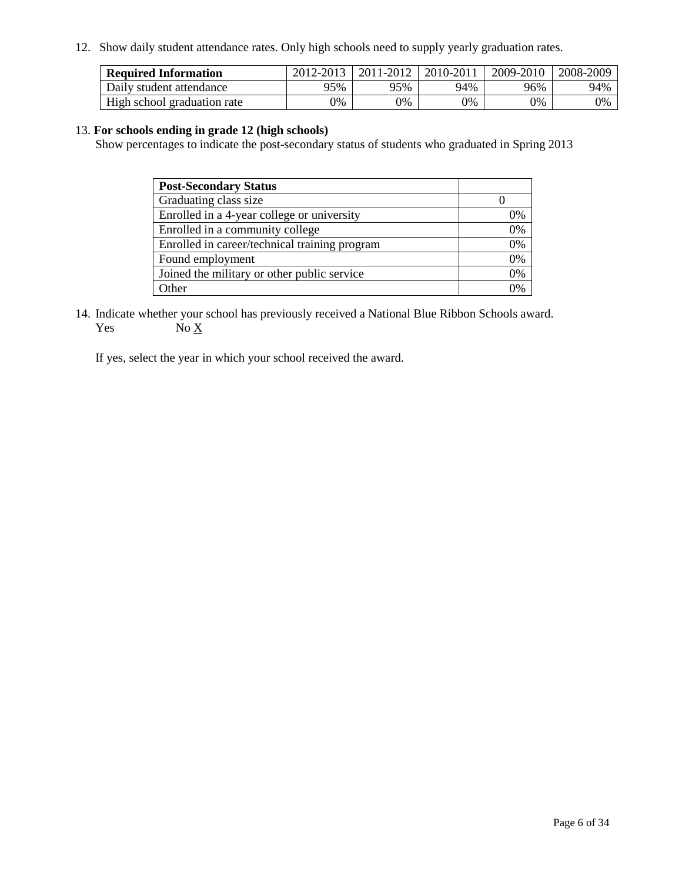12. Show daily student attendance rates. Only high schools need to supply yearly graduation rates.

| <b>Required Information</b> | 2012-2013 | 2011-2012 | 2010-2011 | 2009-2010 | 2008-2009 |
|-----------------------------|-----------|-----------|-----------|-----------|-----------|
| Daily student attendance    | 95%       | 95%       | 94%       | 96%       | 94%       |
| High school graduation rate | 0%        | 9%        | 0%        | 0%        | 0%        |

### 13. **For schools ending in grade 12 (high schools)**

Show percentages to indicate the post-secondary status of students who graduated in Spring 2013

| <b>Post-Secondary Status</b>                  |    |
|-----------------------------------------------|----|
| Graduating class size                         |    |
| Enrolled in a 4-year college or university    | 0% |
| Enrolled in a community college               | 0% |
| Enrolled in career/technical training program | 0% |
| Found employment                              | 0% |
| Joined the military or other public service   | 0% |
| <b>Other</b>                                  | 2% |

14. Indicate whether your school has previously received a National Blue Ribbon Schools award. Yes  $No \underline{X}$ 

If yes, select the year in which your school received the award.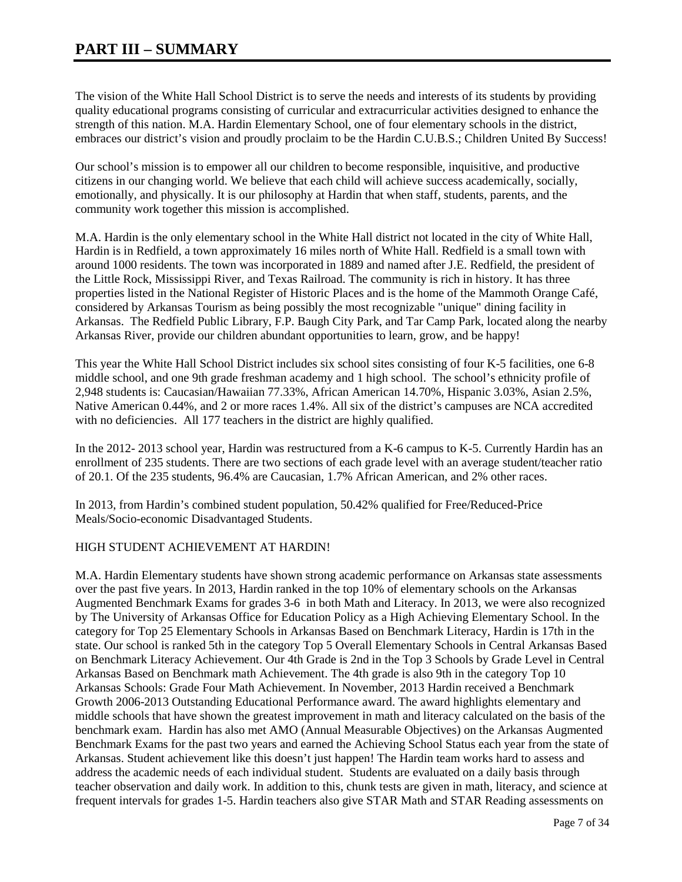The vision of the White Hall School District is to serve the needs and interests of its students by providing quality educational programs consisting of curricular and extracurricular activities designed to enhance the strength of this nation. M.A. Hardin Elementary School, one of four elementary schools in the district, embraces our district's vision and proudly proclaim to be the Hardin C.U.B.S.; Children United By Success!

Our school's mission is to empower all our children to become responsible, inquisitive, and productive citizens in our changing world. We believe that each child will achieve success academically, socially, emotionally, and physically. It is our philosophy at Hardin that when staff, students, parents, and the community work together this mission is accomplished.

M.A. Hardin is the only elementary school in the White Hall district not located in the city of White Hall, Hardin is in Redfield, a town approximately 16 miles north of White Hall. Redfield is a small town with around 1000 residents. The town was incorporated in 1889 and named after J.E. Redfield, the president of the Little Rock, Mississippi River, and Texas Railroad. The community is rich in history. It has three properties listed in the National Register of Historic Places and is the home of the Mammoth Orange Café, considered by Arkansas Tourism as being possibly the most recognizable "unique" dining facility in Arkansas. The Redfield Public Library, F.P. Baugh City Park, and Tar Camp Park, located along the nearby Arkansas River, provide our children abundant opportunities to learn, grow, and be happy!

This year the White Hall School District includes six school sites consisting of four K-5 facilities, one 6-8 middle school, and one 9th grade freshman academy and 1 high school. The school's ethnicity profile of 2,948 students is: Caucasian/Hawaiian 77.33%, African American 14.70%, Hispanic 3.03%, Asian 2.5%, Native American 0.44%, and 2 or more races 1.4%. All six of the district's campuses are NCA accredited with no deficiencies. All 177 teachers in the district are highly qualified.

In the 2012- 2013 school year, Hardin was restructured from a K-6 campus to K-5. Currently Hardin has an enrollment of 235 students. There are two sections of each grade level with an average student/teacher ratio of 20.1. Of the 235 students, 96.4% are Caucasian, 1.7% African American, and 2% other races.

In 2013, from Hardin's combined student population, 50.42% qualified for Free/Reduced-Price Meals/Socio-economic Disadvantaged Students.

### HIGH STUDENT ACHIEVEMENT AT HARDIN!

M.A. Hardin Elementary students have shown strong academic performance on Arkansas state assessments over the past five years. In 2013, Hardin ranked in the top 10% of elementary schools on the Arkansas Augmented Benchmark Exams for grades 3-6 in both Math and Literacy. In 2013, we were also recognized by The University of Arkansas Office for Education Policy as a High Achieving Elementary School. In the category for Top 25 Elementary Schools in Arkansas Based on Benchmark Literacy, Hardin is 17th in the state. Our school is ranked 5th in the category Top 5 Overall Elementary Schools in Central Arkansas Based on Benchmark Literacy Achievement. Our 4th Grade is 2nd in the Top 3 Schools by Grade Level in Central Arkansas Based on Benchmark math Achievement. The 4th grade is also 9th in the category Top 10 Arkansas Schools: Grade Four Math Achievement. In November, 2013 Hardin received a Benchmark Growth 2006-2013 Outstanding Educational Performance award. The award highlights elementary and middle schools that have shown the greatest improvement in math and literacy calculated on the basis of the benchmark exam. Hardin has also met AMO (Annual Measurable Objectives) on the Arkansas Augmented Benchmark Exams for the past two years and earned the Achieving School Status each year from the state of Arkansas. Student achievement like this doesn't just happen! The Hardin team works hard to assess and address the academic needs of each individual student. Students are evaluated on a daily basis through teacher observation and daily work. In addition to this, chunk tests are given in math, literacy, and science at frequent intervals for grades 1-5. Hardin teachers also give STAR Math and STAR Reading assessments on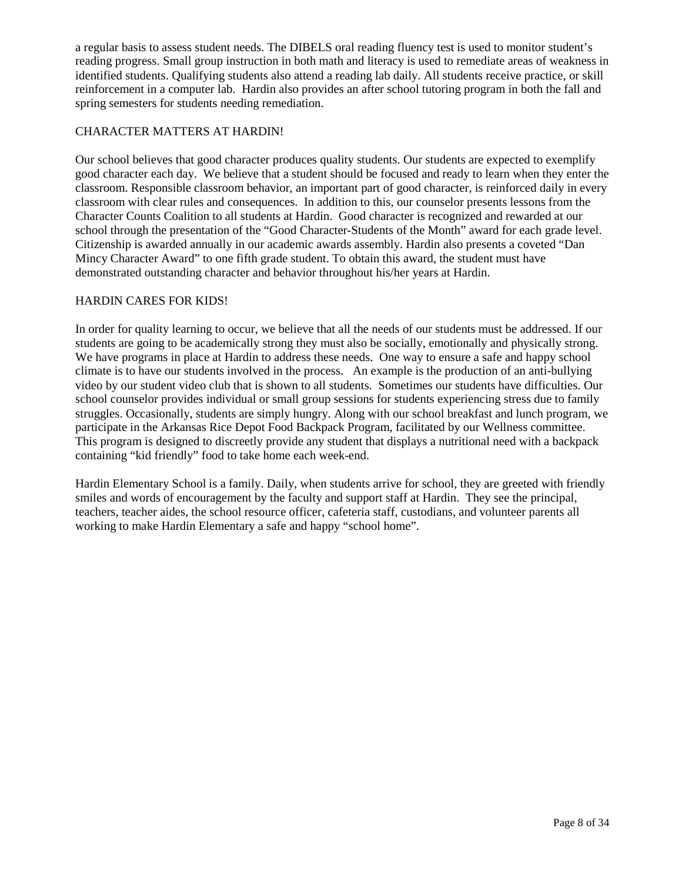a regular basis to assess student needs. The DIBELS oral reading fluency test is used to monitor student's reading progress. Small group instruction in both math and literacy is used to remediate areas of weakness in identified students. Qualifying students also attend a reading lab daily. All students receive practice, or skill reinforcement in a computer lab. Hardin also provides an after school tutoring program in both the fall and spring semesters for students needing remediation.

# CHARACTER MATTERS AT HARDIN!

Our school believes that good character produces quality students. Our students are expected to exemplify good character each day. We believe that a student should be focused and ready to learn when they enter the classroom. Responsible classroom behavior, an important part of good character, is reinforced daily in every classroom with clear rules and consequences. In addition to this, our counselor presents lessons from the Character Counts Coalition to all students at Hardin. Good character is recognized and rewarded at our school through the presentation of the "Good Character-Students of the Month" award for each grade level. Citizenship is awarded annually in our academic awards assembly. Hardin also presents a coveted "Dan Mincy Character Award" to one fifth grade student. To obtain this award, the student must have demonstrated outstanding character and behavior throughout his/her years at Hardin.

# HARDIN CARES FOR KIDS!

In order for quality learning to occur, we believe that all the needs of our students must be addressed. If our students are going to be academically strong they must also be socially, emotionally and physically strong. We have programs in place at Hardin to address these needs. One way to ensure a safe and happy school climate is to have our students involved in the process. An example is the production of an anti-bullying video by our student video club that is shown to all students. Sometimes our students have difficulties. Our school counselor provides individual or small group sessions for students experiencing stress due to family struggles. Occasionally, students are simply hungry. Along with our school breakfast and lunch program, we participate in the Arkansas Rice Depot Food Backpack Program, facilitated by our Wellness committee. This program is designed to discreetly provide any student that displays a nutritional need with a backpack containing "kid friendly" food to take home each week-end.

Hardin Elementary School is a family. Daily, when students arrive for school, they are greeted with friendly smiles and words of encouragement by the faculty and support staff at Hardin. They see the principal, teachers, teacher aides, the school resource officer, cafeteria staff, custodians, and volunteer parents all working to make Hardin Elementary a safe and happy "school home".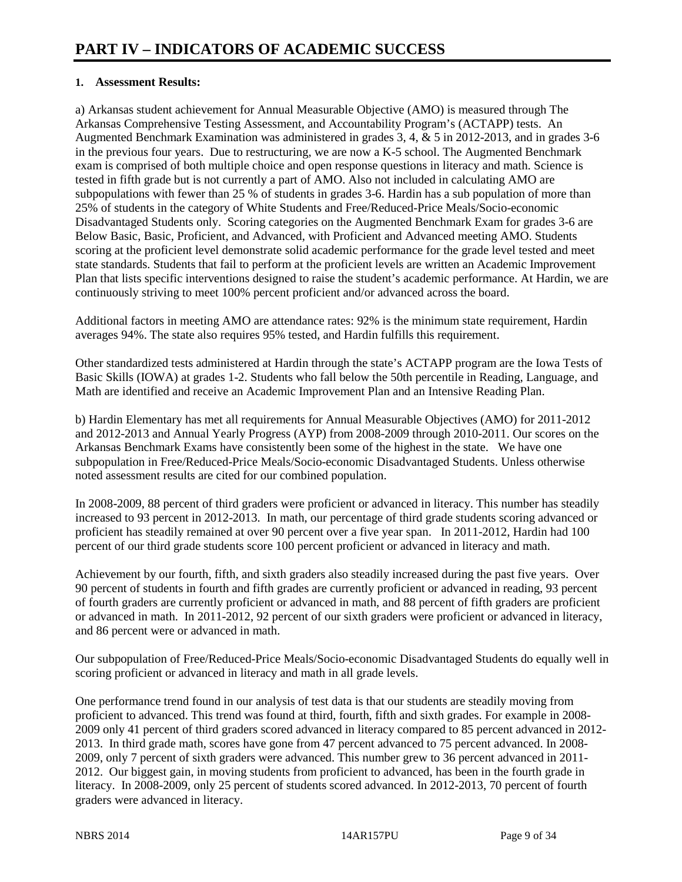# **1. Assessment Results:**

a) Arkansas student achievement for Annual Measurable Objective (AMO) is measured through The Arkansas Comprehensive Testing Assessment, and Accountability Program's (ACTAPP) tests. An Augmented Benchmark Examination was administered in grades 3, 4, & 5 in 2012-2013, and in grades 3-6 in the previous four years. Due to restructuring, we are now a K-5 school. The Augmented Benchmark exam is comprised of both multiple choice and open response questions in literacy and math. Science is tested in fifth grade but is not currently a part of AMO. Also not included in calculating AMO are subpopulations with fewer than 25 % of students in grades 3-6. Hardin has a sub population of more than 25% of students in the category of White Students and Free/Reduced-Price Meals/Socio-economic Disadvantaged Students only. Scoring categories on the Augmented Benchmark Exam for grades 3-6 are Below Basic, Basic, Proficient, and Advanced, with Proficient and Advanced meeting AMO. Students scoring at the proficient level demonstrate solid academic performance for the grade level tested and meet state standards. Students that fail to perform at the proficient levels are written an Academic Improvement Plan that lists specific interventions designed to raise the student's academic performance. At Hardin, we are continuously striving to meet 100% percent proficient and/or advanced across the board.

Additional factors in meeting AMO are attendance rates: 92% is the minimum state requirement, Hardin averages 94%. The state also requires 95% tested, and Hardin fulfills this requirement.

Other standardized tests administered at Hardin through the state's ACTAPP program are the Iowa Tests of Basic Skills (IOWA) at grades 1-2. Students who fall below the 50th percentile in Reading, Language, and Math are identified and receive an Academic Improvement Plan and an Intensive Reading Plan.

b) Hardin Elementary has met all requirements for Annual Measurable Objectives (AMO) for 2011-2012 and 2012-2013 and Annual Yearly Progress (AYP) from 2008-2009 through 2010-2011. Our scores on the Arkansas Benchmark Exams have consistently been some of the highest in the state. We have one subpopulation in Free/Reduced-Price Meals/Socio-economic Disadvantaged Students. Unless otherwise noted assessment results are cited for our combined population.

In 2008-2009, 88 percent of third graders were proficient or advanced in literacy. This number has steadily increased to 93 percent in 2012-2013. In math, our percentage of third grade students scoring advanced or proficient has steadily remained at over 90 percent over a five year span. In 2011-2012, Hardin had 100 percent of our third grade students score 100 percent proficient or advanced in literacy and math.

Achievement by our fourth, fifth, and sixth graders also steadily increased during the past five years. Over 90 percent of students in fourth and fifth grades are currently proficient or advanced in reading, 93 percent of fourth graders are currently proficient or advanced in math, and 88 percent of fifth graders are proficient or advanced in math. In 2011-2012, 92 percent of our sixth graders were proficient or advanced in literacy, and 86 percent were or advanced in math.

Our subpopulation of Free/Reduced-Price Meals/Socio-economic Disadvantaged Students do equally well in scoring proficient or advanced in literacy and math in all grade levels.

One performance trend found in our analysis of test data is that our students are steadily moving from proficient to advanced. This trend was found at third, fourth, fifth and sixth grades. For example in 2008- 2009 only 41 percent of third graders scored advanced in literacy compared to 85 percent advanced in 2012- 2013. In third grade math, scores have gone from 47 percent advanced to 75 percent advanced. In 2008- 2009, only 7 percent of sixth graders were advanced. This number grew to 36 percent advanced in 2011- 2012. Our biggest gain, in moving students from proficient to advanced, has been in the fourth grade in literacy. In 2008-2009, only 25 percent of students scored advanced. In 2012-2013, 70 percent of fourth graders were advanced in literacy.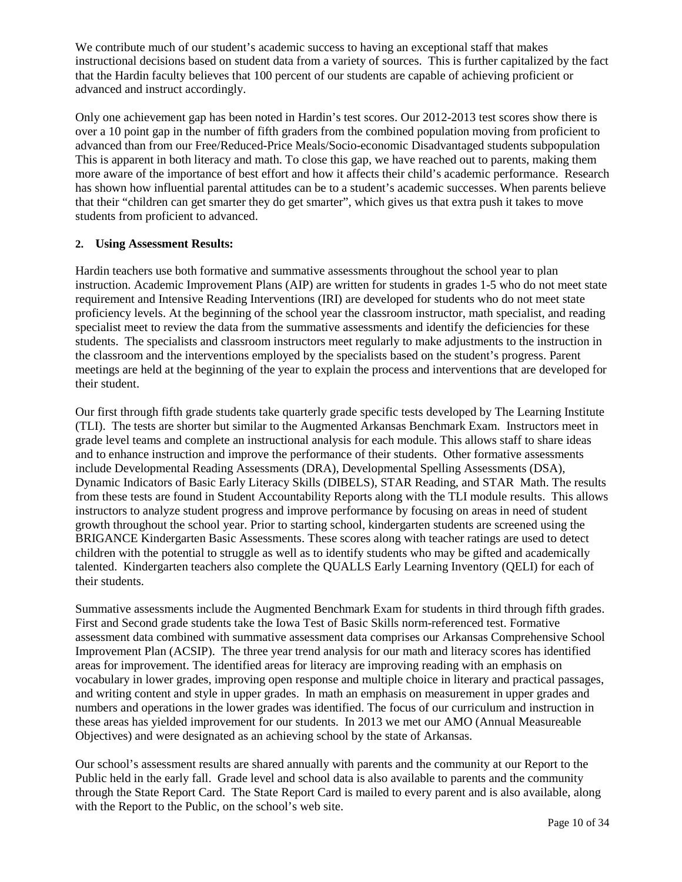We contribute much of our student's academic success to having an exceptional staff that makes instructional decisions based on student data from a variety of sources. This is further capitalized by the fact that the Hardin faculty believes that 100 percent of our students are capable of achieving proficient or advanced and instruct accordingly.

Only one achievement gap has been noted in Hardin's test scores. Our 2012-2013 test scores show there is over a 10 point gap in the number of fifth graders from the combined population moving from proficient to advanced than from our Free/Reduced-Price Meals/Socio-economic Disadvantaged students subpopulation This is apparent in both literacy and math. To close this gap, we have reached out to parents, making them more aware of the importance of best effort and how it affects their child's academic performance. Research has shown how influential parental attitudes can be to a student's academic successes. When parents believe that their "children can get smarter they do get smarter", which gives us that extra push it takes to move students from proficient to advanced.

# **2. Using Assessment Results:**

Hardin teachers use both formative and summative assessments throughout the school year to plan instruction. Academic Improvement Plans (AIP) are written for students in grades 1-5 who do not meet state requirement and Intensive Reading Interventions (IRI) are developed for students who do not meet state proficiency levels. At the beginning of the school year the classroom instructor, math specialist, and reading specialist meet to review the data from the summative assessments and identify the deficiencies for these students. The specialists and classroom instructors meet regularly to make adjustments to the instruction in the classroom and the interventions employed by the specialists based on the student's progress. Parent meetings are held at the beginning of the year to explain the process and interventions that are developed for their student.

Our first through fifth grade students take quarterly grade specific tests developed by The Learning Institute (TLI). The tests are shorter but similar to the Augmented Arkansas Benchmark Exam. Instructors meet in grade level teams and complete an instructional analysis for each module. This allows staff to share ideas and to enhance instruction and improve the performance of their students. Other formative assessments include Developmental Reading Assessments (DRA), Developmental Spelling Assessments (DSA), Dynamic Indicators of Basic Early Literacy Skills (DIBELS), STAR Reading, and STAR Math. The results from these tests are found in Student Accountability Reports along with the TLI module results. This allows instructors to analyze student progress and improve performance by focusing on areas in need of student growth throughout the school year. Prior to starting school, kindergarten students are screened using the BRIGANCE Kindergarten Basic Assessments. These scores along with teacher ratings are used to detect children with the potential to struggle as well as to identify students who may be gifted and academically talented. Kindergarten teachers also complete the QUALLS Early Learning Inventory (QELI) for each of their students.

Summative assessments include the Augmented Benchmark Exam for students in third through fifth grades. First and Second grade students take the Iowa Test of Basic Skills norm-referenced test. Formative assessment data combined with summative assessment data comprises our Arkansas Comprehensive School Improvement Plan (ACSIP). The three year trend analysis for our math and literacy scores has identified areas for improvement. The identified areas for literacy are improving reading with an emphasis on vocabulary in lower grades, improving open response and multiple choice in literary and practical passages, and writing content and style in upper grades. In math an emphasis on measurement in upper grades and numbers and operations in the lower grades was identified. The focus of our curriculum and instruction in these areas has yielded improvement for our students. In 2013 we met our AMO (Annual Measureable Objectives) and were designated as an achieving school by the state of Arkansas.

Our school's assessment results are shared annually with parents and the community at our Report to the Public held in the early fall. Grade level and school data is also available to parents and the community through the State Report Card. The State Report Card is mailed to every parent and is also available, along with the Report to the Public, on the school's web site.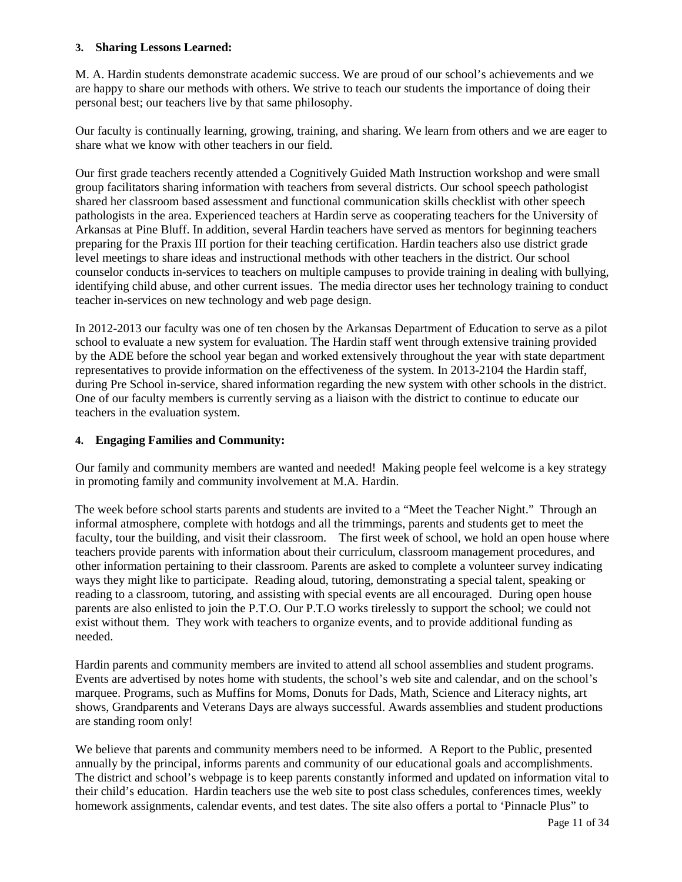#### **3. Sharing Lessons Learned:**

M. A. Hardin students demonstrate academic success. We are proud of our school's achievements and we are happy to share our methods with others. We strive to teach our students the importance of doing their personal best; our teachers live by that same philosophy.

Our faculty is continually learning, growing, training, and sharing. We learn from others and we are eager to share what we know with other teachers in our field.

Our first grade teachers recently attended a Cognitively Guided Math Instruction workshop and were small group facilitators sharing information with teachers from several districts. Our school speech pathologist shared her classroom based assessment and functional communication skills checklist with other speech pathologists in the area. Experienced teachers at Hardin serve as cooperating teachers for the University of Arkansas at Pine Bluff. In addition, several Hardin teachers have served as mentors for beginning teachers preparing for the Praxis III portion for their teaching certification. Hardin teachers also use district grade level meetings to share ideas and instructional methods with other teachers in the district. Our school counselor conducts in-services to teachers on multiple campuses to provide training in dealing with bullying, identifying child abuse, and other current issues. The media director uses her technology training to conduct teacher in-services on new technology and web page design.

In 2012-2013 our faculty was one of ten chosen by the Arkansas Department of Education to serve as a pilot school to evaluate a new system for evaluation. The Hardin staff went through extensive training provided by the ADE before the school year began and worked extensively throughout the year with state department representatives to provide information on the effectiveness of the system. In 2013-2104 the Hardin staff, during Pre School in-service, shared information regarding the new system with other schools in the district. One of our faculty members is currently serving as a liaison with the district to continue to educate our teachers in the evaluation system.

### **4. Engaging Families and Community:**

Our family and community members are wanted and needed! Making people feel welcome is a key strategy in promoting family and community involvement at M.A. Hardin.

The week before school starts parents and students are invited to a "Meet the Teacher Night." Through an informal atmosphere, complete with hotdogs and all the trimmings, parents and students get to meet the faculty, tour the building, and visit their classroom. The first week of school, we hold an open house where teachers provide parents with information about their curriculum, classroom management procedures, and other information pertaining to their classroom. Parents are asked to complete a volunteer survey indicating ways they might like to participate. Reading aloud, tutoring, demonstrating a special talent, speaking or reading to a classroom, tutoring, and assisting with special events are all encouraged. During open house parents are also enlisted to join the P.T.O. Our P.T.O works tirelessly to support the school; we could not exist without them. They work with teachers to organize events, and to provide additional funding as needed.

Hardin parents and community members are invited to attend all school assemblies and student programs. Events are advertised by notes home with students, the school's web site and calendar, and on the school's marquee. Programs, such as Muffins for Moms, Donuts for Dads, Math, Science and Literacy nights, art shows, Grandparents and Veterans Days are always successful. Awards assemblies and student productions are standing room only!

We believe that parents and community members need to be informed. A Report to the Public, presented annually by the principal, informs parents and community of our educational goals and accomplishments. The district and school's webpage is to keep parents constantly informed and updated on information vital to their child's education. Hardin teachers use the web site to post class schedules, conferences times, weekly homework assignments, calendar events, and test dates. The site also offers a portal to 'Pinnacle Plus" to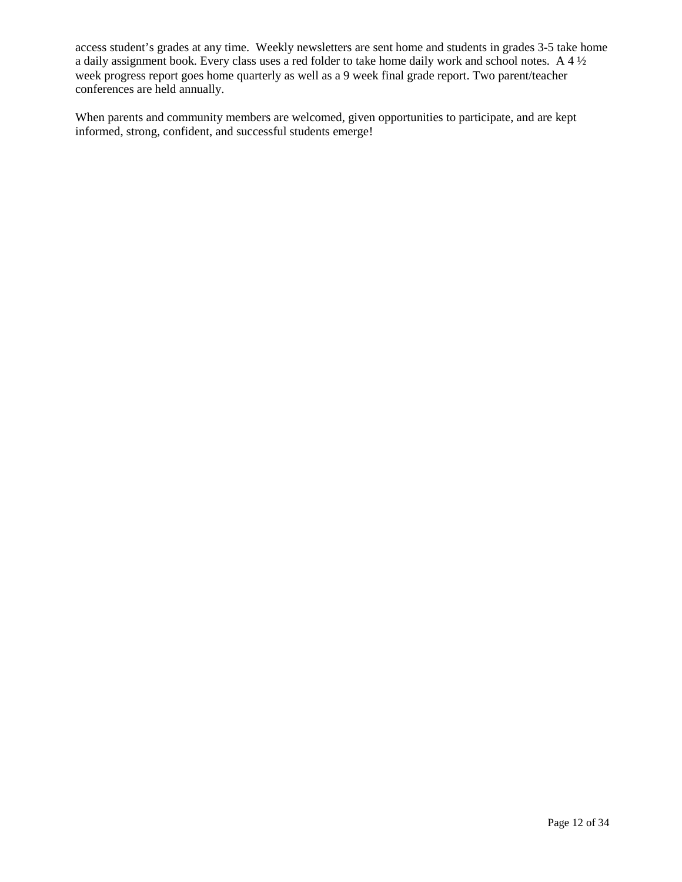access student's grades at any time. Weekly newsletters are sent home and students in grades 3-5 take home a daily assignment book. Every class uses a red folder to take home daily work and school notes. A 4 ½ week progress report goes home quarterly as well as a 9 week final grade report. Two parent/teacher conferences are held annually.

When parents and community members are welcomed, given opportunities to participate, and are kept informed, strong, confident, and successful students emerge!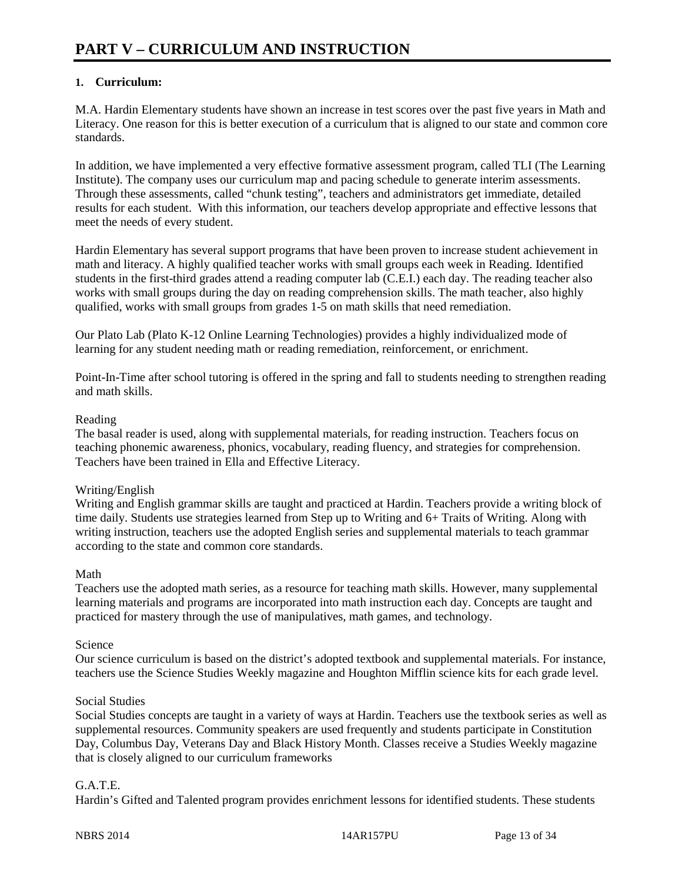# **1. Curriculum:**

M.A. Hardin Elementary students have shown an increase in test scores over the past five years in Math and Literacy. One reason for this is better execution of a curriculum that is aligned to our state and common core standards.

In addition, we have implemented a very effective formative assessment program, called TLI (The Learning Institute). The company uses our curriculum map and pacing schedule to generate interim assessments. Through these assessments, called "chunk testing", teachers and administrators get immediate, detailed results for each student. With this information, our teachers develop appropriate and effective lessons that meet the needs of every student.

Hardin Elementary has several support programs that have been proven to increase student achievement in math and literacy. A highly qualified teacher works with small groups each week in Reading. Identified students in the first-third grades attend a reading computer lab (C.E.I.) each day. The reading teacher also works with small groups during the day on reading comprehension skills. The math teacher, also highly qualified, works with small groups from grades 1-5 on math skills that need remediation.

Our Plato Lab (Plato K-12 Online Learning Technologies) provides a highly individualized mode of learning for any student needing math or reading remediation, reinforcement, or enrichment.

Point-In-Time after school tutoring is offered in the spring and fall to students needing to strengthen reading and math skills.

# Reading

The basal reader is used, along with supplemental materials, for reading instruction. Teachers focus on teaching phonemic awareness, phonics, vocabulary, reading fluency, and strategies for comprehension. Teachers have been trained in Ella and Effective Literacy.

# Writing/English

Writing and English grammar skills are taught and practiced at Hardin. Teachers provide a writing block of time daily. Students use strategies learned from Step up to Writing and 6+ Traits of Writing. Along with writing instruction, teachers use the adopted English series and supplemental materials to teach grammar according to the state and common core standards.

# Math

Teachers use the adopted math series, as a resource for teaching math skills. However, many supplemental learning materials and programs are incorporated into math instruction each day. Concepts are taught and practiced for mastery through the use of manipulatives, math games, and technology.

# Science

Our science curriculum is based on the district's adopted textbook and supplemental materials. For instance, teachers use the Science Studies Weekly magazine and Houghton Mifflin science kits for each grade level.

# Social Studies

Social Studies concepts are taught in a variety of ways at Hardin. Teachers use the textbook series as well as supplemental resources. Community speakers are used frequently and students participate in Constitution Day, Columbus Day, Veterans Day and Black History Month. Classes receive a Studies Weekly magazine that is closely aligned to our curriculum frameworks

# G.A.T.E.

Hardin's Gifted and Talented program provides enrichment lessons for identified students. These students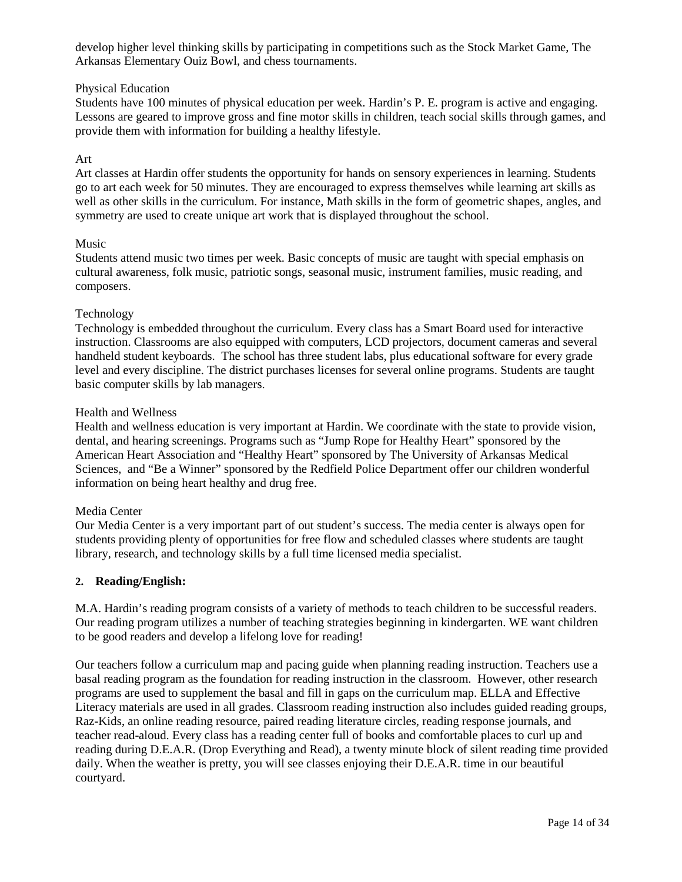develop higher level thinking skills by participating in competitions such as the Stock Market Game, The Arkansas Elementary Ouiz Bowl, and chess tournaments.

### Physical Education

Students have 100 minutes of physical education per week. Hardin's P. E. program is active and engaging. Lessons are geared to improve gross and fine motor skills in children, teach social skills through games, and provide them with information for building a healthy lifestyle.

# Art

Art classes at Hardin offer students the opportunity for hands on sensory experiences in learning. Students go to art each week for 50 minutes. They are encouraged to express themselves while learning art skills as well as other skills in the curriculum. For instance, Math skills in the form of geometric shapes, angles, and symmetry are used to create unique art work that is displayed throughout the school.

#### Music

Students attend music two times per week. Basic concepts of music are taught with special emphasis on cultural awareness, folk music, patriotic songs, seasonal music, instrument families, music reading, and composers.

### Technology

Technology is embedded throughout the curriculum. Every class has a Smart Board used for interactive instruction. Classrooms are also equipped with computers, LCD projectors, document cameras and several handheld student keyboards. The school has three student labs, plus educational software for every grade level and every discipline. The district purchases licenses for several online programs. Students are taught basic computer skills by lab managers.

#### Health and Wellness

Health and wellness education is very important at Hardin. We coordinate with the state to provide vision, dental, and hearing screenings. Programs such as "Jump Rope for Healthy Heart" sponsored by the American Heart Association and "Healthy Heart" sponsored by The University of Arkansas Medical Sciences, and "Be a Winner" sponsored by the Redfield Police Department offer our children wonderful information on being heart healthy and drug free.

#### Media Center

Our Media Center is a very important part of out student's success. The media center is always open for students providing plenty of opportunities for free flow and scheduled classes where students are taught library, research, and technology skills by a full time licensed media specialist.

#### **2. Reading/English:**

M.A. Hardin's reading program consists of a variety of methods to teach children to be successful readers. Our reading program utilizes a number of teaching strategies beginning in kindergarten. WE want children to be good readers and develop a lifelong love for reading!

Our teachers follow a curriculum map and pacing guide when planning reading instruction. Teachers use a basal reading program as the foundation for reading instruction in the classroom. However, other research programs are used to supplement the basal and fill in gaps on the curriculum map. ELLA and Effective Literacy materials are used in all grades. Classroom reading instruction also includes guided reading groups, Raz-Kids, an online reading resource, paired reading literature circles, reading response journals, and teacher read-aloud. Every class has a reading center full of books and comfortable places to curl up and reading during D.E.A.R. (Drop Everything and Read), a twenty minute block of silent reading time provided daily. When the weather is pretty, you will see classes enjoying their D.E.A.R. time in our beautiful courtyard.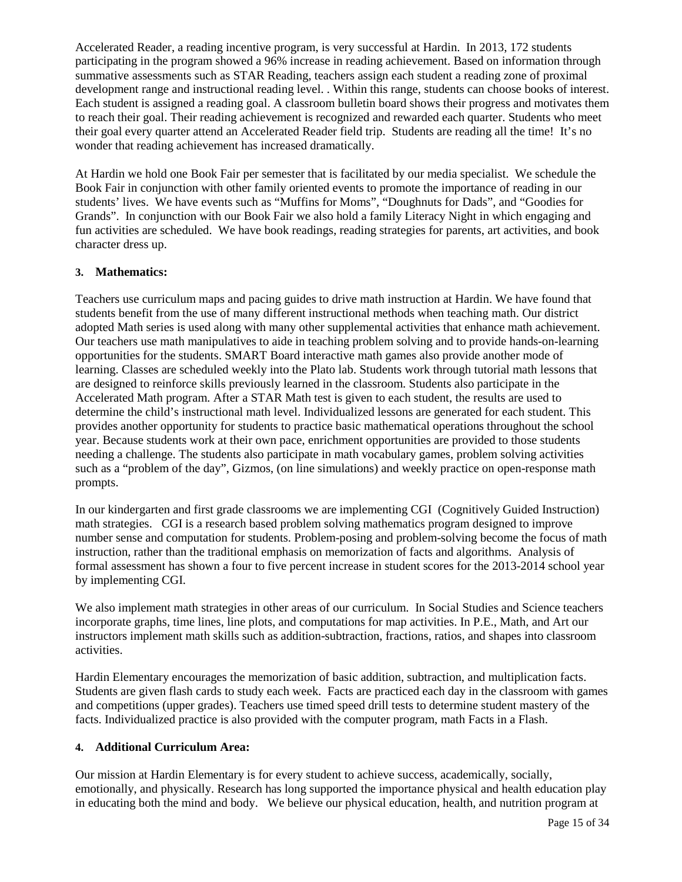Accelerated Reader, a reading incentive program, is very successful at Hardin. In 2013, 172 students participating in the program showed a 96% increase in reading achievement. Based on information through summative assessments such as STAR Reading, teachers assign each student a reading zone of proximal development range and instructional reading level. . Within this range, students can choose books of interest. Each student is assigned a reading goal. A classroom bulletin board shows their progress and motivates them to reach their goal. Their reading achievement is recognized and rewarded each quarter. Students who meet their goal every quarter attend an Accelerated Reader field trip. Students are reading all the time! It's no wonder that reading achievement has increased dramatically.

At Hardin we hold one Book Fair per semester that is facilitated by our media specialist. We schedule the Book Fair in conjunction with other family oriented events to promote the importance of reading in our students' lives. We have events such as "Muffins for Moms", "Doughnuts for Dads", and "Goodies for Grands". In conjunction with our Book Fair we also hold a family Literacy Night in which engaging and fun activities are scheduled. We have book readings, reading strategies for parents, art activities, and book character dress up.

# **3. Mathematics:**

Teachers use curriculum maps and pacing guides to drive math instruction at Hardin. We have found that students benefit from the use of many different instructional methods when teaching math. Our district adopted Math series is used along with many other supplemental activities that enhance math achievement. Our teachers use math manipulatives to aide in teaching problem solving and to provide hands-on-learning opportunities for the students. SMART Board interactive math games also provide another mode of learning. Classes are scheduled weekly into the Plato lab. Students work through tutorial math lessons that are designed to reinforce skills previously learned in the classroom. Students also participate in the Accelerated Math program. After a STAR Math test is given to each student, the results are used to determine the child's instructional math level. Individualized lessons are generated for each student. This provides another opportunity for students to practice basic mathematical operations throughout the school year. Because students work at their own pace, enrichment opportunities are provided to those students needing a challenge. The students also participate in math vocabulary games, problem solving activities such as a "problem of the day", Gizmos, (on line simulations) and weekly practice on open-response math prompts.

In our kindergarten and first grade classrooms we are implementing CGI (Cognitively Guided Instruction) math strategies. CGI is a research based problem solving mathematics program designed to improve number sense and computation for students. Problem-posing and problem-solving become the focus of math instruction, rather than the traditional emphasis on memorization of facts and algorithms. Analysis of formal assessment has shown a four to five percent increase in student scores for the 2013-2014 school year by implementing CGI.

We also implement math strategies in other areas of our curriculum. In Social Studies and Science teachers incorporate graphs, time lines, line plots, and computations for map activities. In P.E., Math, and Art our instructors implement math skills such as addition-subtraction, fractions, ratios, and shapes into classroom activities.

Hardin Elementary encourages the memorization of basic addition, subtraction, and multiplication facts. Students are given flash cards to study each week. Facts are practiced each day in the classroom with games and competitions (upper grades). Teachers use timed speed drill tests to determine student mastery of the facts. Individualized practice is also provided with the computer program, math Facts in a Flash.

# **4. Additional Curriculum Area:**

Our mission at Hardin Elementary is for every student to achieve success, academically, socially, emotionally, and physically. Research has long supported the importance physical and health education play in educating both the mind and body. We believe our physical education, health, and nutrition program at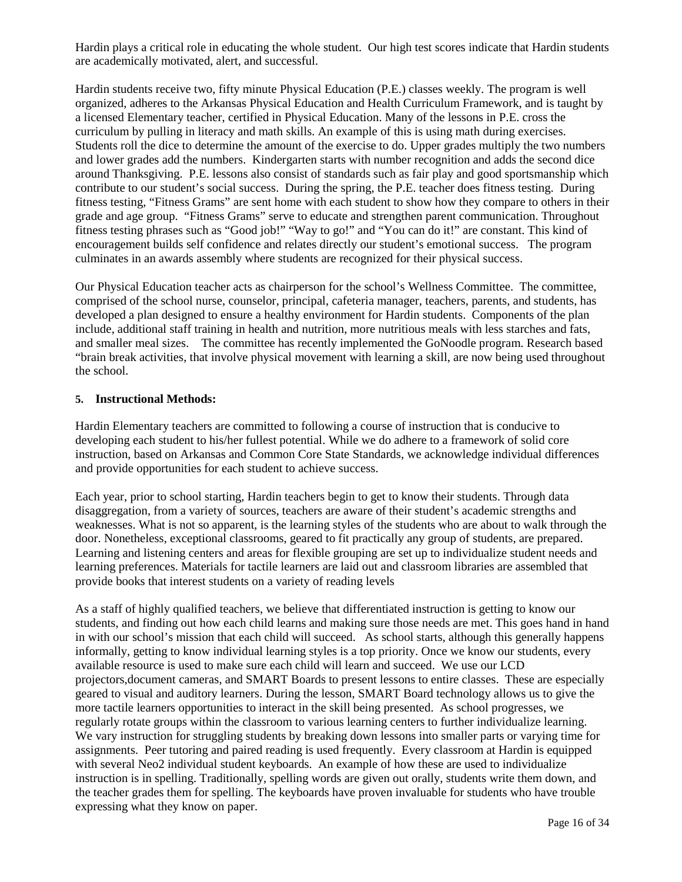Hardin plays a critical role in educating the whole student. Our high test scores indicate that Hardin students are academically motivated, alert, and successful.

Hardin students receive two, fifty minute Physical Education (P.E.) classes weekly. The program is well organized, adheres to the Arkansas Physical Education and Health Curriculum Framework, and is taught by a licensed Elementary teacher, certified in Physical Education. Many of the lessons in P.E. cross the curriculum by pulling in literacy and math skills. An example of this is using math during exercises. Students roll the dice to determine the amount of the exercise to do. Upper grades multiply the two numbers and lower grades add the numbers. Kindergarten starts with number recognition and adds the second dice around Thanksgiving. P.E. lessons also consist of standards such as fair play and good sportsmanship which contribute to our student's social success. During the spring, the P.E. teacher does fitness testing. During fitness testing, "Fitness Grams" are sent home with each student to show how they compare to others in their grade and age group. "Fitness Grams" serve to educate and strengthen parent communication. Throughout fitness testing phrases such as "Good job!" "Way to go!" and "You can do it!" are constant. This kind of encouragement builds self confidence and relates directly our student's emotional success. The program culminates in an awards assembly where students are recognized for their physical success.

Our Physical Education teacher acts as chairperson for the school's Wellness Committee. The committee, comprised of the school nurse, counselor, principal, cafeteria manager, teachers, parents, and students, has developed a plan designed to ensure a healthy environment for Hardin students. Components of the plan include, additional staff training in health and nutrition, more nutritious meals with less starches and fats, and smaller meal sizes. The committee has recently implemented the GoNoodle program. Research based "brain break activities, that involve physical movement with learning a skill, are now being used throughout the school.

### **5. Instructional Methods:**

Hardin Elementary teachers are committed to following a course of instruction that is conducive to developing each student to his/her fullest potential. While we do adhere to a framework of solid core instruction, based on Arkansas and Common Core State Standards, we acknowledge individual differences and provide opportunities for each student to achieve success.

Each year, prior to school starting, Hardin teachers begin to get to know their students. Through data disaggregation, from a variety of sources, teachers are aware of their student's academic strengths and weaknesses. What is not so apparent, is the learning styles of the students who are about to walk through the door. Nonetheless, exceptional classrooms, geared to fit practically any group of students, are prepared. Learning and listening centers and areas for flexible grouping are set up to individualize student needs and learning preferences. Materials for tactile learners are laid out and classroom libraries are assembled that provide books that interest students on a variety of reading levels

As a staff of highly qualified teachers, we believe that differentiated instruction is getting to know our students, and finding out how each child learns and making sure those needs are met. This goes hand in hand in with our school's mission that each child will succeed. As school starts, although this generally happens informally, getting to know individual learning styles is a top priority. Once we know our students, every available resource is used to make sure each child will learn and succeed. We use our LCD projectors,document cameras, and SMART Boards to present lessons to entire classes. These are especially geared to visual and auditory learners. During the lesson, SMART Board technology allows us to give the more tactile learners opportunities to interact in the skill being presented. As school progresses, we regularly rotate groups within the classroom to various learning centers to further individualize learning. We vary instruction for struggling students by breaking down lessons into smaller parts or varying time for assignments. Peer tutoring and paired reading is used frequently. Every classroom at Hardin is equipped with several Neo2 individual student keyboards. An example of how these are used to individualize instruction is in spelling. Traditionally, spelling words are given out orally, students write them down, and the teacher grades them for spelling. The keyboards have proven invaluable for students who have trouble expressing what they know on paper.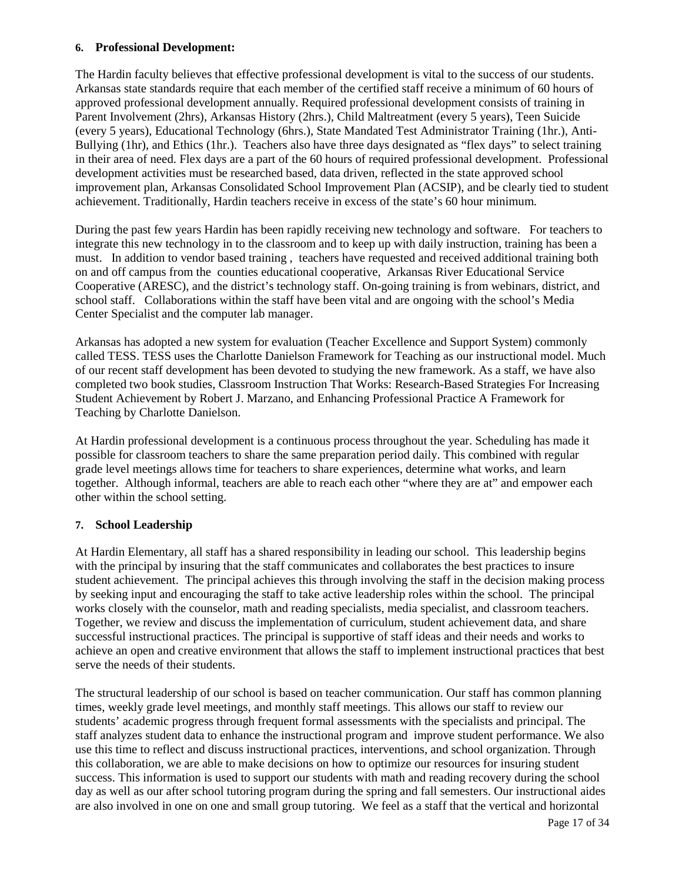#### **6. Professional Development:**

The Hardin faculty believes that effective professional development is vital to the success of our students. Arkansas state standards require that each member of the certified staff receive a minimum of 60 hours of approved professional development annually. Required professional development consists of training in Parent Involvement (2hrs), Arkansas History (2hrs.), Child Maltreatment (every 5 years), Teen Suicide (every 5 years), Educational Technology (6hrs.), State Mandated Test Administrator Training (1hr.), Anti-Bullying (1hr), and Ethics (1hr.). Teachers also have three days designated as "flex days" to select training in their area of need. Flex days are a part of the 60 hours of required professional development. Professional development activities must be researched based, data driven, reflected in the state approved school improvement plan, Arkansas Consolidated School Improvement Plan (ACSIP), and be clearly tied to student achievement. Traditionally, Hardin teachers receive in excess of the state's 60 hour minimum.

During the past few years Hardin has been rapidly receiving new technology and software. For teachers to integrate this new technology in to the classroom and to keep up with daily instruction, training has been a must. In addition to vendor based training , teachers have requested and received additional training both on and off campus from the counties educational cooperative, Arkansas River Educational Service Cooperative (ARESC), and the district's technology staff. On-going training is from webinars, district, and school staff. Collaborations within the staff have been vital and are ongoing with the school's Media Center Specialist and the computer lab manager.

Arkansas has adopted a new system for evaluation (Teacher Excellence and Support System) commonly called TESS. TESS uses the Charlotte Danielson Framework for Teaching as our instructional model. Much of our recent staff development has been devoted to studying the new framework. As a staff, we have also completed two book studies, Classroom Instruction That Works: Research-Based Strategies For Increasing Student Achievement by Robert J. Marzano, and Enhancing Professional Practice A Framework for Teaching by Charlotte Danielson.

At Hardin professional development is a continuous process throughout the year. Scheduling has made it possible for classroom teachers to share the same preparation period daily. This combined with regular grade level meetings allows time for teachers to share experiences, determine what works, and learn together. Although informal, teachers are able to reach each other "where they are at" and empower each other within the school setting.

### **7. School Leadership**

At Hardin Elementary, all staff has a shared responsibility in leading our school. This leadership begins with the principal by insuring that the staff communicates and collaborates the best practices to insure student achievement. The principal achieves this through involving the staff in the decision making process by seeking input and encouraging the staff to take active leadership roles within the school. The principal works closely with the counselor, math and reading specialists, media specialist, and classroom teachers. Together, we review and discuss the implementation of curriculum, student achievement data, and share successful instructional practices. The principal is supportive of staff ideas and their needs and works to achieve an open and creative environment that allows the staff to implement instructional practices that best serve the needs of their students.

The structural leadership of our school is based on teacher communication. Our staff has common planning times, weekly grade level meetings, and monthly staff meetings. This allows our staff to review our students' academic progress through frequent formal assessments with the specialists and principal. The staff analyzes student data to enhance the instructional program and improve student performance. We also use this time to reflect and discuss instructional practices, interventions, and school organization. Through this collaboration, we are able to make decisions on how to optimize our resources for insuring student success. This information is used to support our students with math and reading recovery during the school day as well as our after school tutoring program during the spring and fall semesters. Our instructional aides are also involved in one on one and small group tutoring. We feel as a staff that the vertical and horizontal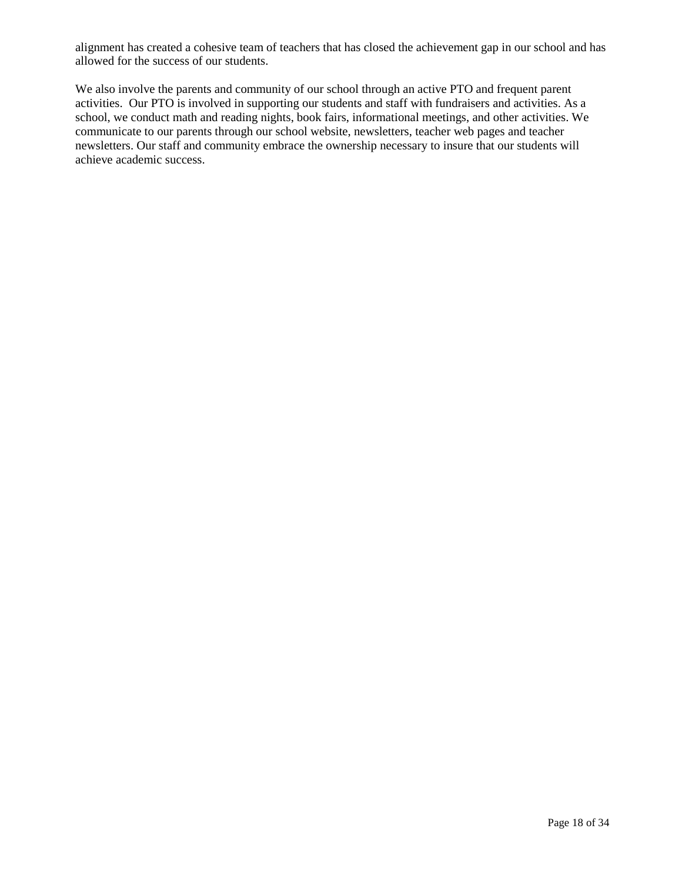alignment has created a cohesive team of teachers that has closed the achievement gap in our school and has allowed for the success of our students.

We also involve the parents and community of our school through an active PTO and frequent parent activities. Our PTO is involved in supporting our students and staff with fundraisers and activities. As a school, we conduct math and reading nights, book fairs, informational meetings, and other activities. We communicate to our parents through our school website, newsletters, teacher web pages and teacher newsletters. Our staff and community embrace the ownership necessary to insure that our students will achieve academic success.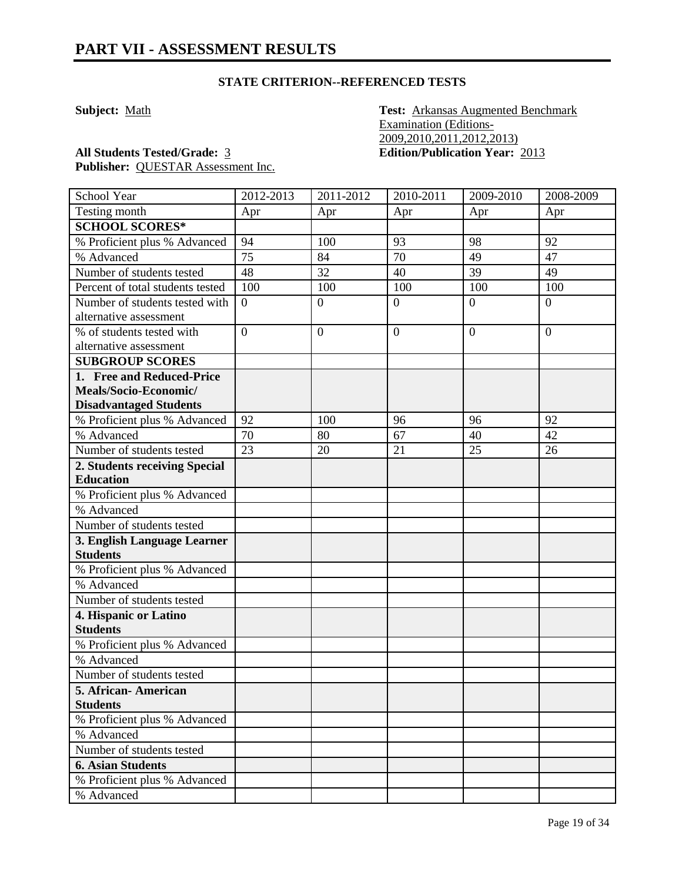**Subject:** Math **Test: Arkansas Augmented Benchmark** Examination (Editions-2009,2010,2011,2012,2013) **All Students Tested/Grade:** 3 **Edition/Publication Year:** 2013

| School Year                      | 2012-2013       | 2011-2012        | 2010-2011      | 2009-2010      | 2008-2009        |
|----------------------------------|-----------------|------------------|----------------|----------------|------------------|
| Testing month                    | Apr             | Apr              | Apr            | Apr            | Apr              |
| <b>SCHOOL SCORES*</b>            |                 |                  |                |                |                  |
| % Proficient plus % Advanced     | 94              | 100              | 93             | 98             | 92               |
| % Advanced                       | 75              | 84               | 70             | 49             | 47               |
| Number of students tested        | 48              | 32               | 40             | 39             | 49               |
| Percent of total students tested | 100             | 100              | 100            | 100            | 100              |
| Number of students tested with   | $\theta$        | $\boldsymbol{0}$ | $\overline{0}$ | $\theta$       | $\boldsymbol{0}$ |
| alternative assessment           |                 |                  |                |                |                  |
| % of students tested with        | $\overline{0}$  | $\overline{0}$   | $\overline{0}$ | $\overline{0}$ | $\overline{0}$   |
| alternative assessment           |                 |                  |                |                |                  |
| <b>SUBGROUP SCORES</b>           |                 |                  |                |                |                  |
| 1. Free and Reduced-Price        |                 |                  |                |                |                  |
| Meals/Socio-Economic/            |                 |                  |                |                |                  |
| <b>Disadvantaged Students</b>    |                 |                  |                |                |                  |
| % Proficient plus % Advanced     | 92              | 100              | 96             | 96             | 92               |
| % Advanced                       | 70              | 80               | 67             | 40             | 42               |
| Number of students tested        | $\overline{23}$ | 20               | 21             | 25             | 26               |
| 2. Students receiving Special    |                 |                  |                |                |                  |
| <b>Education</b>                 |                 |                  |                |                |                  |
| % Proficient plus % Advanced     |                 |                  |                |                |                  |
| % Advanced                       |                 |                  |                |                |                  |
| Number of students tested        |                 |                  |                |                |                  |
| 3. English Language Learner      |                 |                  |                |                |                  |
| <b>Students</b>                  |                 |                  |                |                |                  |
| % Proficient plus % Advanced     |                 |                  |                |                |                  |
| % Advanced                       |                 |                  |                |                |                  |
| Number of students tested        |                 |                  |                |                |                  |
| 4. Hispanic or Latino            |                 |                  |                |                |                  |
| <b>Students</b>                  |                 |                  |                |                |                  |
| % Proficient plus % Advanced     |                 |                  |                |                |                  |
| % Advanced                       |                 |                  |                |                |                  |
| Number of students tested        |                 |                  |                |                |                  |
| 5. African- American             |                 |                  |                |                |                  |
| <b>Students</b>                  |                 |                  |                |                |                  |
| % Proficient plus % Advanced     |                 |                  |                |                |                  |
| % Advanced                       |                 |                  |                |                |                  |
| Number of students tested        |                 |                  |                |                |                  |
| <b>6. Asian Students</b>         |                 |                  |                |                |                  |
| % Proficient plus % Advanced     |                 |                  |                |                |                  |
| % Advanced                       |                 |                  |                |                |                  |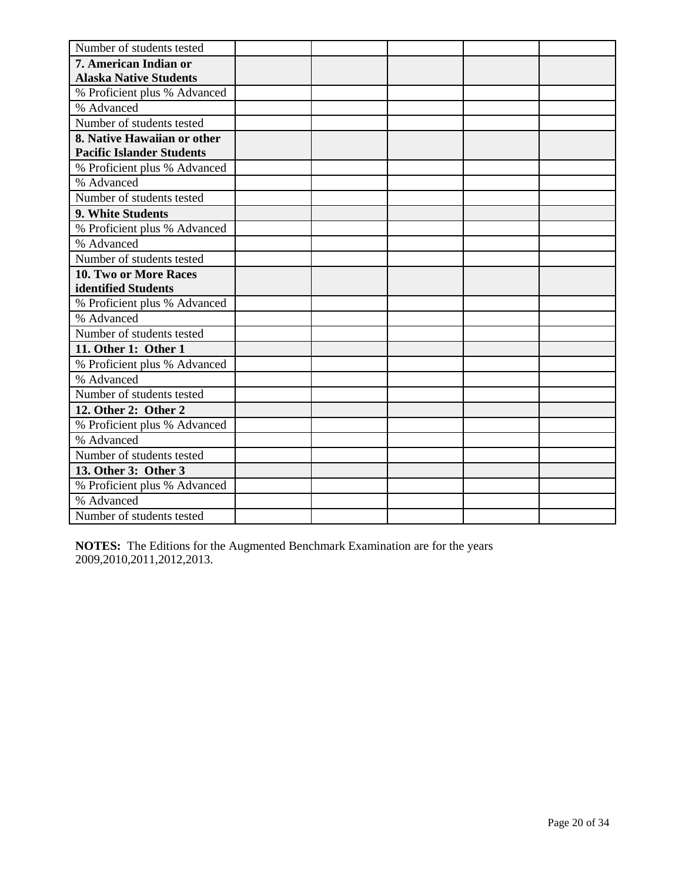| Number of students tested        |  |  |  |
|----------------------------------|--|--|--|
| 7. American Indian or            |  |  |  |
| <b>Alaska Native Students</b>    |  |  |  |
| % Proficient plus % Advanced     |  |  |  |
| % Advanced                       |  |  |  |
| Number of students tested        |  |  |  |
| 8. Native Hawaiian or other      |  |  |  |
| <b>Pacific Islander Students</b> |  |  |  |
| % Proficient plus % Advanced     |  |  |  |
| % Advanced                       |  |  |  |
| Number of students tested        |  |  |  |
| 9. White Students                |  |  |  |
| % Proficient plus % Advanced     |  |  |  |
| % Advanced                       |  |  |  |
| Number of students tested        |  |  |  |
| 10. Two or More Races            |  |  |  |
| identified Students              |  |  |  |
| % Proficient plus % Advanced     |  |  |  |
| % Advanced                       |  |  |  |
| Number of students tested        |  |  |  |
| 11. Other 1: Other 1             |  |  |  |
| % Proficient plus % Advanced     |  |  |  |
| % Advanced                       |  |  |  |
| Number of students tested        |  |  |  |
| 12. Other 2: Other 2             |  |  |  |
| % Proficient plus % Advanced     |  |  |  |
| % Advanced                       |  |  |  |
| Number of students tested        |  |  |  |
| 13. Other 3: Other 3             |  |  |  |
| % Proficient plus % Advanced     |  |  |  |
| % Advanced                       |  |  |  |
| Number of students tested        |  |  |  |

**NOTES:** The Editions for the Augmented Benchmark Examination are for the years 2009,2010,2011,2012,2013.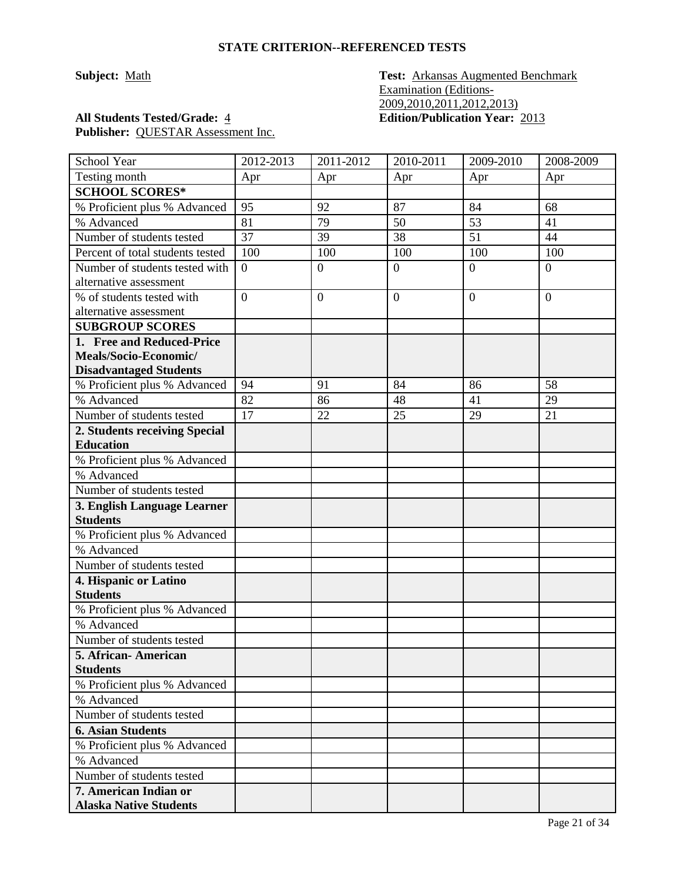**Subject:** Math **Test: Arkansas Augmented Benchmark** Examination (Editions-2009,2010,2011,2012,2013) **All Students Tested/Grade:** 4 **Edition/Publication Year:** 2013

| School Year                      | 2012-2013      | 2011-2012      | 2010-2011      | 2009-2010      | 2008-2009      |
|----------------------------------|----------------|----------------|----------------|----------------|----------------|
| Testing month                    | Apr            | Apr            | Apr            | Apr            | Apr            |
| <b>SCHOOL SCORES*</b>            |                |                |                |                |                |
| % Proficient plus % Advanced     | 95             | 92             | 87             | 84             | 68             |
| % Advanced                       | 81             | 79             | 50             | 53             | 41             |
| Number of students tested        | 37             | 39             | 38             | 51             | 44             |
| Percent of total students tested | 100            | 100            | 100            | 100            | 100            |
| Number of students tested with   | $\overline{0}$ | $\overline{0}$ | $\overline{0}$ | $\overline{0}$ | $\overline{0}$ |
| alternative assessment           |                |                |                |                |                |
| % of students tested with        | $\overline{0}$ | $\overline{0}$ | $\overline{0}$ | $\overline{0}$ | $\overline{0}$ |
| alternative assessment           |                |                |                |                |                |
| <b>SUBGROUP SCORES</b>           |                |                |                |                |                |
| 1. Free and Reduced-Price        |                |                |                |                |                |
| Meals/Socio-Economic/            |                |                |                |                |                |
| <b>Disadvantaged Students</b>    |                |                |                |                |                |
| % Proficient plus % Advanced     | 94             | 91             | 84             | 86             | 58             |
| % Advanced                       | 82             | 86             | 48             | 41             | 29             |
| Number of students tested        | 17             | 22             | 25             | 29             | 21             |
| 2. Students receiving Special    |                |                |                |                |                |
| <b>Education</b>                 |                |                |                |                |                |
| % Proficient plus % Advanced     |                |                |                |                |                |
| % Advanced                       |                |                |                |                |                |
| Number of students tested        |                |                |                |                |                |
| 3. English Language Learner      |                |                |                |                |                |
| <b>Students</b>                  |                |                |                |                |                |
| % Proficient plus % Advanced     |                |                |                |                |                |
| % Advanced                       |                |                |                |                |                |
| Number of students tested        |                |                |                |                |                |
| 4. Hispanic or Latino            |                |                |                |                |                |
| <b>Students</b>                  |                |                |                |                |                |
| % Proficient plus % Advanced     |                |                |                |                |                |
| % Advanced                       |                |                |                |                |                |
| Number of students tested        |                |                |                |                |                |
| 5. African- American             |                |                |                |                |                |
| <b>Students</b>                  |                |                |                |                |                |
| % Proficient plus % Advanced     |                |                |                |                |                |
| % Advanced                       |                |                |                |                |                |
| Number of students tested        |                |                |                |                |                |
| <b>6. Asian Students</b>         |                |                |                |                |                |
| % Proficient plus % Advanced     |                |                |                |                |                |
| % Advanced                       |                |                |                |                |                |
| Number of students tested        |                |                |                |                |                |
| 7. American Indian or            |                |                |                |                |                |
| <b>Alaska Native Students</b>    |                |                |                |                |                |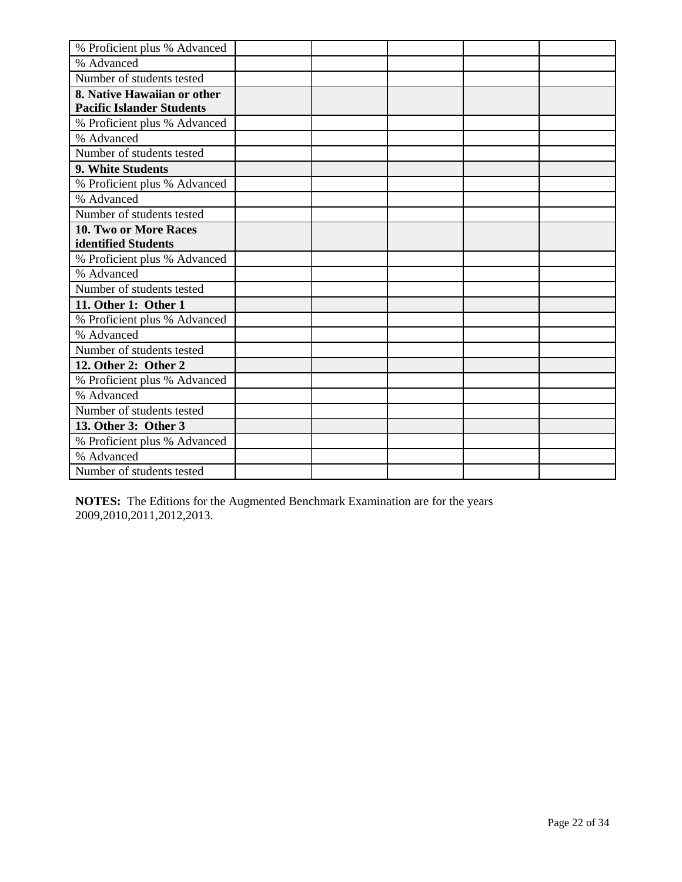| % Proficient plus % Advanced     |  |  |  |
|----------------------------------|--|--|--|
| % Advanced                       |  |  |  |
| Number of students tested        |  |  |  |
| 8. Native Hawaiian or other      |  |  |  |
| <b>Pacific Islander Students</b> |  |  |  |
| % Proficient plus % Advanced     |  |  |  |
| % Advanced                       |  |  |  |
| Number of students tested        |  |  |  |
| 9. White Students                |  |  |  |
| % Proficient plus % Advanced     |  |  |  |
| % Advanced                       |  |  |  |
| Number of students tested        |  |  |  |
| 10. Two or More Races            |  |  |  |
| identified Students              |  |  |  |
| % Proficient plus % Advanced     |  |  |  |
| % Advanced                       |  |  |  |
| Number of students tested        |  |  |  |
| 11. Other 1: Other 1             |  |  |  |
| % Proficient plus % Advanced     |  |  |  |
| % Advanced                       |  |  |  |
| Number of students tested        |  |  |  |
| 12. Other 2: Other 2             |  |  |  |
| % Proficient plus % Advanced     |  |  |  |
| % Advanced                       |  |  |  |
| Number of students tested        |  |  |  |
| 13. Other 3: Other 3             |  |  |  |
| % Proficient plus % Advanced     |  |  |  |
| % Advanced                       |  |  |  |
| Number of students tested        |  |  |  |

**NOTES:** The Editions for the Augmented Benchmark Examination are for the years 2009,2010,2011,2012,2013.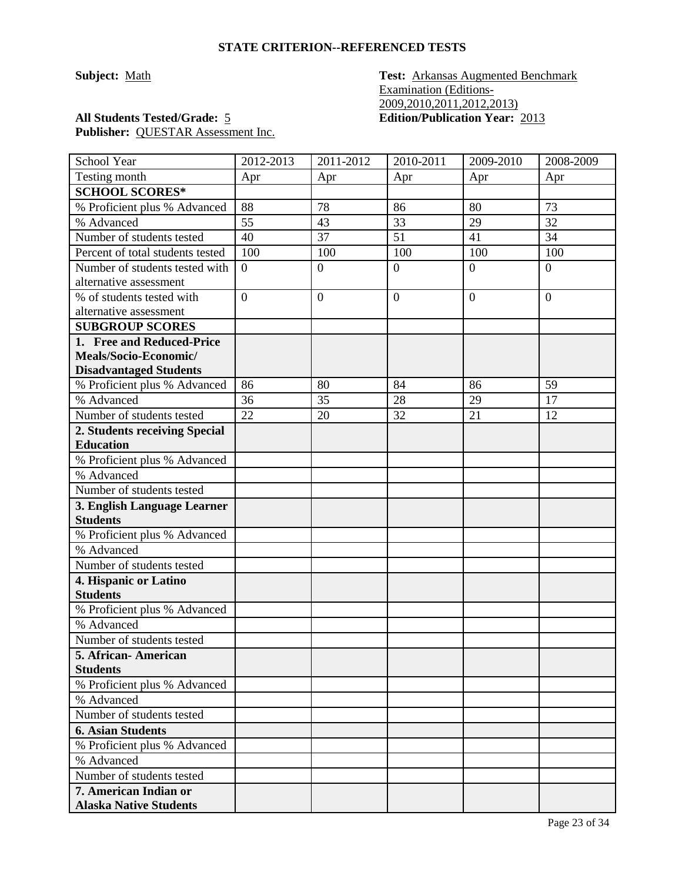**Subject:** Math **Test: Arkansas Augmented Benchmark** Examination (Editions-2009,2010,2011,2012,2013) **All Students Tested/Grade:** 5 **Edition/Publication Year:** 2013

| School Year                                | 2012-2013      | 2011-2012      | 2010-2011      | 2009-2010      | 2008-2009       |
|--------------------------------------------|----------------|----------------|----------------|----------------|-----------------|
| Testing month                              | Apr            | Apr            | Apr            | Apr            | Apr             |
| <b>SCHOOL SCORES*</b>                      |                |                |                |                |                 |
| % Proficient plus % Advanced               | 88             | 78             | 86             | 80             | 73              |
| % Advanced                                 | 55             | 43             | 33             | 29             | 32              |
| Number of students tested                  | 40             | 37             | 51             | 41             | 34              |
| Percent of total students tested           | 100            | 100            | 100            | 100            | 100             |
| Number of students tested with             | $\overline{0}$ | $\overline{0}$ | $\overline{0}$ | $\overline{0}$ | $\overline{0}$  |
| alternative assessment                     |                |                |                |                |                 |
| % of students tested with                  | $\overline{0}$ | $\overline{0}$ | $\overline{0}$ | $\overline{0}$ | $\overline{0}$  |
| alternative assessment                     |                |                |                |                |                 |
| <b>SUBGROUP SCORES</b>                     |                |                |                |                |                 |
| 1. Free and Reduced-Price                  |                |                |                |                |                 |
| Meals/Socio-Economic/                      |                |                |                |                |                 |
| <b>Disadvantaged Students</b>              |                |                |                |                |                 |
| % Proficient plus % Advanced               | 86             | 80             | 84             | 86             | 59              |
| % Advanced                                 | 36             | 35             | 28             | 29             | $\overline{17}$ |
| Number of students tested                  | 22             | 20             | 32             | 21             | 12              |
| 2. Students receiving Special              |                |                |                |                |                 |
| <b>Education</b>                           |                |                |                |                |                 |
| % Proficient plus % Advanced               |                |                |                |                |                 |
| % Advanced                                 |                |                |                |                |                 |
| Number of students tested                  |                |                |                |                |                 |
| 3. English Language Learner                |                |                |                |                |                 |
| <b>Students</b>                            |                |                |                |                |                 |
| % Proficient plus % Advanced               |                |                |                |                |                 |
| % Advanced                                 |                |                |                |                |                 |
| Number of students tested                  |                |                |                |                |                 |
| 4. Hispanic or Latino                      |                |                |                |                |                 |
| <b>Students</b>                            |                |                |                |                |                 |
| % Proficient plus % Advanced<br>% Advanced |                |                |                |                |                 |
|                                            |                |                |                |                |                 |
| Number of students tested                  |                |                |                |                |                 |
| 5. African- American<br><b>Students</b>    |                |                |                |                |                 |
| % Proficient plus % Advanced               |                |                |                |                |                 |
| % Advanced                                 |                |                |                |                |                 |
| Number of students tested                  |                |                |                |                |                 |
| <b>6. Asian Students</b>                   |                |                |                |                |                 |
| % Proficient plus % Advanced               |                |                |                |                |                 |
| % Advanced                                 |                |                |                |                |                 |
| Number of students tested                  |                |                |                |                |                 |
| 7. American Indian or                      |                |                |                |                |                 |
| <b>Alaska Native Students</b>              |                |                |                |                |                 |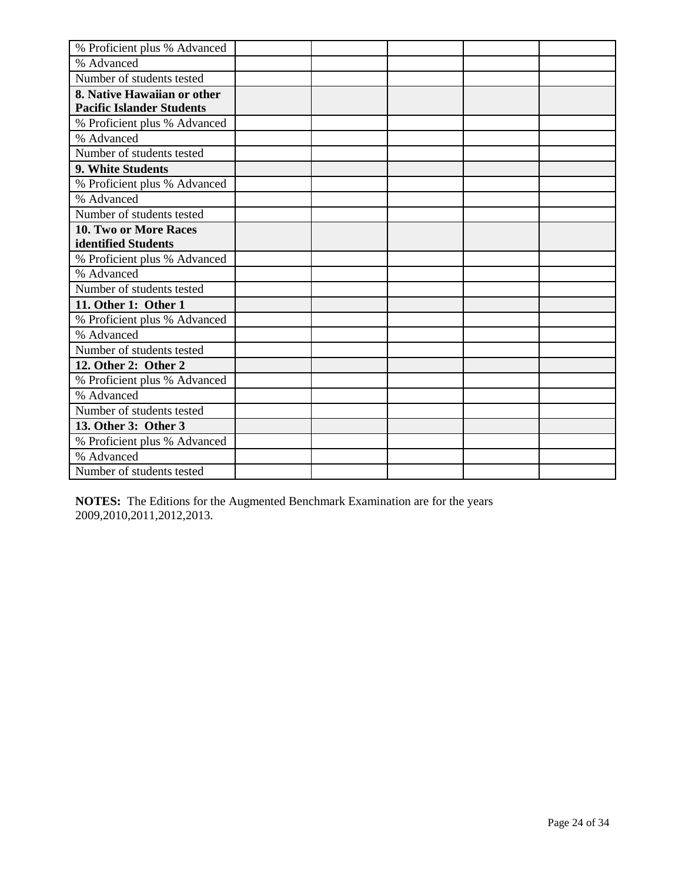| % Proficient plus % Advanced     |  |  |  |
|----------------------------------|--|--|--|
| % Advanced                       |  |  |  |
| Number of students tested        |  |  |  |
| 8. Native Hawaiian or other      |  |  |  |
| <b>Pacific Islander Students</b> |  |  |  |
| % Proficient plus % Advanced     |  |  |  |
| % Advanced                       |  |  |  |
| Number of students tested        |  |  |  |
| 9. White Students                |  |  |  |
| % Proficient plus % Advanced     |  |  |  |
| % Advanced                       |  |  |  |
| Number of students tested        |  |  |  |
| 10. Two or More Races            |  |  |  |
| identified Students              |  |  |  |
| % Proficient plus % Advanced     |  |  |  |
| % Advanced                       |  |  |  |
| Number of students tested        |  |  |  |
| 11. Other 1: Other 1             |  |  |  |
| % Proficient plus % Advanced     |  |  |  |
| % Advanced                       |  |  |  |
| Number of students tested        |  |  |  |
| 12. Other 2: Other 2             |  |  |  |
| % Proficient plus % Advanced     |  |  |  |
| % Advanced                       |  |  |  |
| Number of students tested        |  |  |  |
| 13. Other 3: Other 3             |  |  |  |
| % Proficient plus % Advanced     |  |  |  |
| % Advanced                       |  |  |  |
| Number of students tested        |  |  |  |

**NOTES:** The Editions for the Augmented Benchmark Examination are for the years 2009,2010,2011,2012,2013.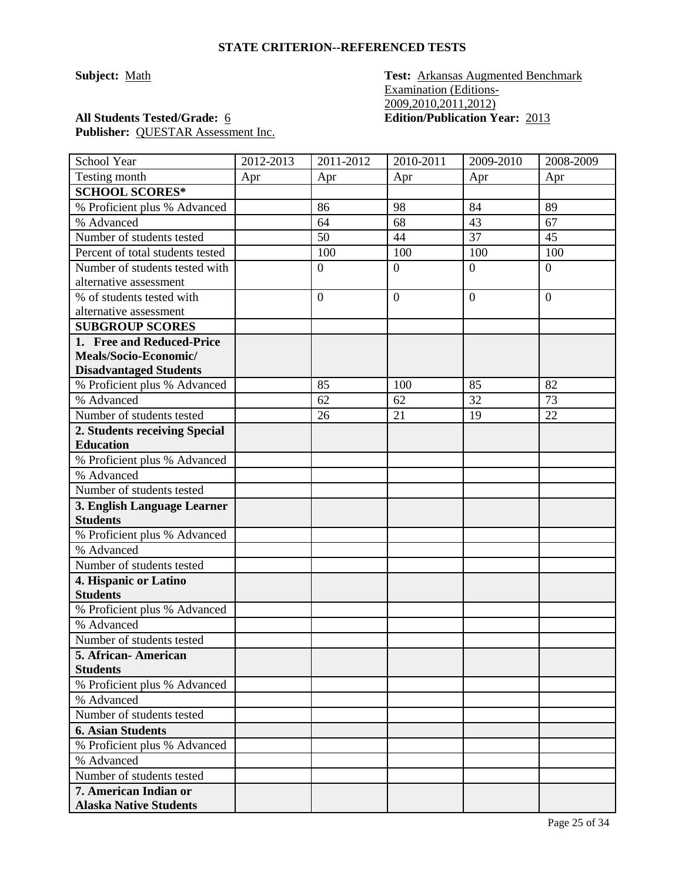**Subject:** Math **Test: Arkansas Augmented Benchmark** Examination (Editions-2009,2010,2011,2012) **All Students Tested/Grade:** 6 **Edition/Publication Year:** 2013

| School Year                      | 2012-2013 | 2011-2012      | 2010-2011      | 2009-2010      | 2008-2009      |
|----------------------------------|-----------|----------------|----------------|----------------|----------------|
| Testing month                    | Apr       | Apr            | Apr            | Apr            | Apr            |
| <b>SCHOOL SCORES*</b>            |           |                |                |                |                |
| % Proficient plus % Advanced     |           | 86             | 98             | 84             | 89             |
| % Advanced                       |           | 64             | 68             | 43             | 67             |
| Number of students tested        |           | 50             | 44             | 37             | 45             |
| Percent of total students tested |           | 100            | 100            | 100            | 100            |
| Number of students tested with   |           | $\overline{0}$ | $\overline{0}$ | $\overline{0}$ | $\overline{0}$ |
| alternative assessment           |           |                |                |                |                |
| % of students tested with        |           | $\overline{0}$ | $\overline{0}$ | $\theta$       | $\overline{0}$ |
| alternative assessment           |           |                |                |                |                |
| <b>SUBGROUP SCORES</b>           |           |                |                |                |                |
| 1. Free and Reduced-Price        |           |                |                |                |                |
| Meals/Socio-Economic/            |           |                |                |                |                |
| <b>Disadvantaged Students</b>    |           |                |                |                |                |
| % Proficient plus % Advanced     |           | 85             | 100            | 85             | 82             |
| % Advanced                       |           | 62             | 62             | 32             | 73             |
| Number of students tested        |           | 26             | 21             | 19             | 22             |
| 2. Students receiving Special    |           |                |                |                |                |
| <b>Education</b>                 |           |                |                |                |                |
| % Proficient plus % Advanced     |           |                |                |                |                |
| % Advanced                       |           |                |                |                |                |
| Number of students tested        |           |                |                |                |                |
| 3. English Language Learner      |           |                |                |                |                |
| <b>Students</b>                  |           |                |                |                |                |
| % Proficient plus % Advanced     |           |                |                |                |                |
| % Advanced                       |           |                |                |                |                |
| Number of students tested        |           |                |                |                |                |
| 4. Hispanic or Latino            |           |                |                |                |                |
| <b>Students</b>                  |           |                |                |                |                |
| % Proficient plus % Advanced     |           |                |                |                |                |
| % Advanced                       |           |                |                |                |                |
| Number of students tested        |           |                |                |                |                |
| 5. African- American             |           |                |                |                |                |
| <b>Students</b>                  |           |                |                |                |                |
| % Proficient plus % Advanced     |           |                |                |                |                |
| % Advanced                       |           |                |                |                |                |
| Number of students tested        |           |                |                |                |                |
| <b>6. Asian Students</b>         |           |                |                |                |                |
| % Proficient plus % Advanced     |           |                |                |                |                |
| % Advanced                       |           |                |                |                |                |
| Number of students tested        |           |                |                |                |                |
| 7. American Indian or            |           |                |                |                |                |
| <b>Alaska Native Students</b>    |           |                |                |                |                |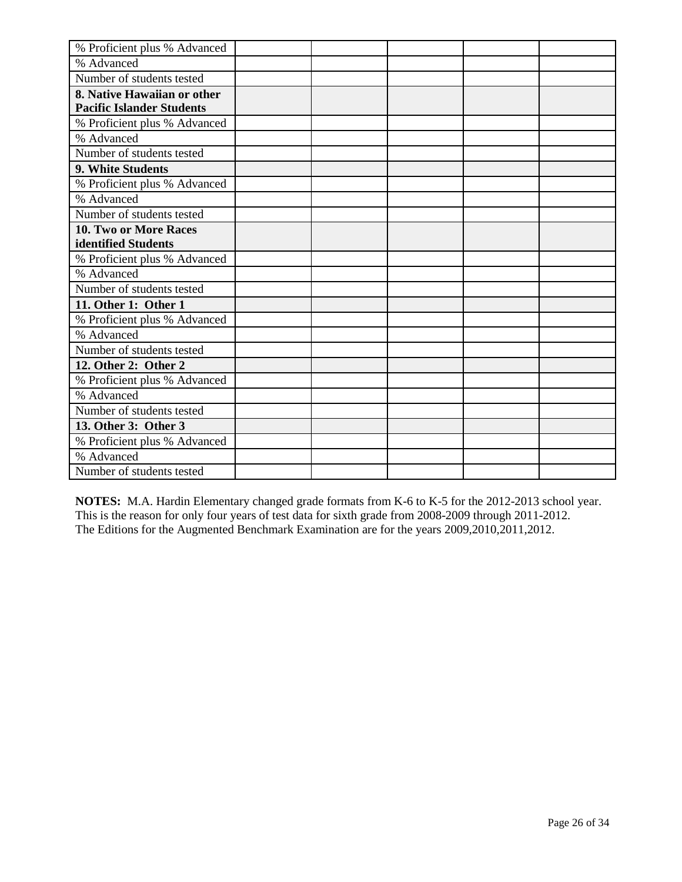| % Proficient plus % Advanced     |  |  |  |
|----------------------------------|--|--|--|
| % Advanced                       |  |  |  |
| Number of students tested        |  |  |  |
| 8. Native Hawaiian or other      |  |  |  |
| <b>Pacific Islander Students</b> |  |  |  |
| % Proficient plus % Advanced     |  |  |  |
| % Advanced                       |  |  |  |
| Number of students tested        |  |  |  |
| 9. White Students                |  |  |  |
| % Proficient plus % Advanced     |  |  |  |
| % Advanced                       |  |  |  |
| Number of students tested        |  |  |  |
| 10. Two or More Races            |  |  |  |
| identified Students              |  |  |  |
| % Proficient plus % Advanced     |  |  |  |
| % Advanced                       |  |  |  |
| Number of students tested        |  |  |  |
| 11. Other 1: Other 1             |  |  |  |
| % Proficient plus % Advanced     |  |  |  |
| % Advanced                       |  |  |  |
| Number of students tested        |  |  |  |
| 12. Other 2: Other 2             |  |  |  |
| % Proficient plus % Advanced     |  |  |  |
| % Advanced                       |  |  |  |
| Number of students tested        |  |  |  |
| 13. Other 3: Other 3             |  |  |  |
| % Proficient plus % Advanced     |  |  |  |
| % Advanced                       |  |  |  |
| Number of students tested        |  |  |  |

**NOTES:** M.A. Hardin Elementary changed grade formats from K-6 to K-5 for the 2012-2013 school year. This is the reason for only four years of test data for sixth grade from 2008-2009 through 2011-2012. The Editions for the Augmented Benchmark Examination are for the years 2009,2010,2011,2012.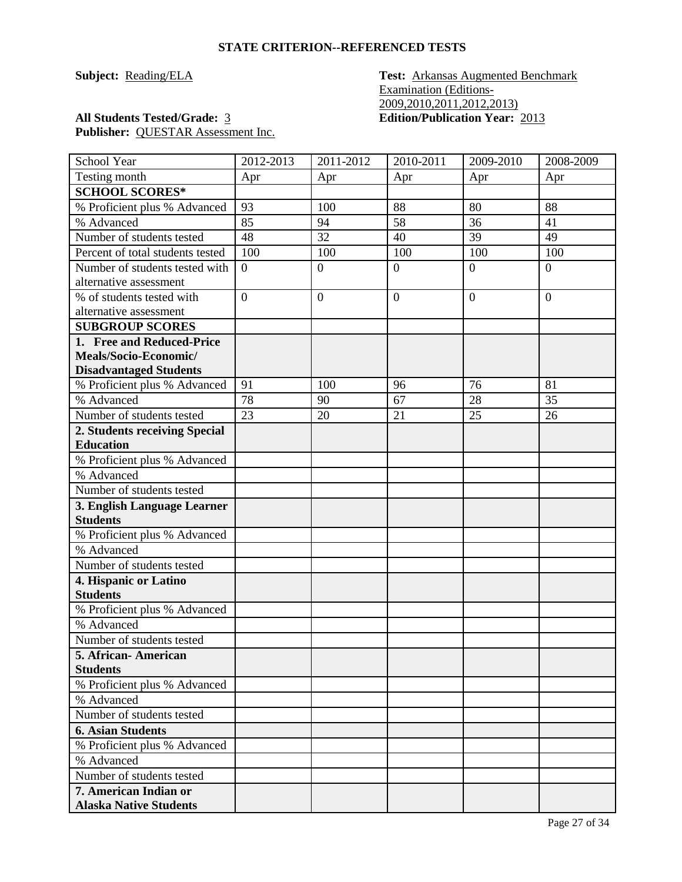**Subject: Reading/ELA Test: Arkansas Augmented Benchmark** Examination (Editions-2009,2010,2011,2012,2013) **All Students Tested/Grade:** 3 **Edition/Publication Year:** 2013

| School Year                              | 2012-2013      | $2011 - 2012$  | $2010 - 2011$  | 2009-2010      | 2008-2009      |
|------------------------------------------|----------------|----------------|----------------|----------------|----------------|
| Testing month                            | Apr            | Apr            | Apr            | Apr            | Apr            |
| <b>SCHOOL SCORES*</b>                    |                |                |                |                |                |
| % Proficient plus % Advanced             | 93             | 100            | 88             | 80             | 88             |
| % Advanced                               | 85             | 94             | 58             | 36             | 41             |
| Number of students tested                | 48             | 32             | 40             | 39             | 49             |
| Percent of total students tested         | 100            | 100            | 100            | 100            | 100            |
| Number of students tested with           | $\overline{0}$ | $\overline{0}$ | $\theta$       | $\overline{0}$ | $\overline{0}$ |
| alternative assessment                   |                |                |                |                |                |
| % of students tested with                | $\overline{0}$ | $\overline{0}$ | $\overline{0}$ | $\overline{0}$ | $\theta$       |
| alternative assessment                   |                |                |                |                |                |
| <b>SUBGROUP SCORES</b>                   |                |                |                |                |                |
| 1. Free and Reduced-Price                |                |                |                |                |                |
| Meals/Socio-Economic/                    |                |                |                |                |                |
| <b>Disadvantaged Students</b>            |                |                |                |                |                |
| % Proficient plus % Advanced             | 91             | 100            | 96             | 76             | 81             |
| % Advanced                               | 78             | 90             | 67             | 28             | 35             |
| Number of students tested                | 23             | 20             | 21             | 25             | 26             |
| 2. Students receiving Special            |                |                |                |                |                |
| <b>Education</b>                         |                |                |                |                |                |
| % Proficient plus % Advanced             |                |                |                |                |                |
| % Advanced                               |                |                |                |                |                |
| Number of students tested                |                |                |                |                |                |
| 3. English Language Learner              |                |                |                |                |                |
| <b>Students</b>                          |                |                |                |                |                |
| % Proficient plus % Advanced             |                |                |                |                |                |
| % Advanced                               |                |                |                |                |                |
| Number of students tested                |                |                |                |                |                |
| 4. Hispanic or Latino<br><b>Students</b> |                |                |                |                |                |
| % Proficient plus % Advanced             |                |                |                |                |                |
| % Advanced                               |                |                |                |                |                |
| Number of students tested                |                |                |                |                |                |
| 5. African-American                      |                |                |                |                |                |
| <b>Students</b>                          |                |                |                |                |                |
| % Proficient plus % Advanced             |                |                |                |                |                |
| % Advanced                               |                |                |                |                |                |
| Number of students tested                |                |                |                |                |                |
| <b>6. Asian Students</b>                 |                |                |                |                |                |
| % Proficient plus % Advanced             |                |                |                |                |                |
| % Advanced                               |                |                |                |                |                |
| Number of students tested                |                |                |                |                |                |
| 7. American Indian or                    |                |                |                |                |                |
| <b>Alaska Native Students</b>            |                |                |                |                |                |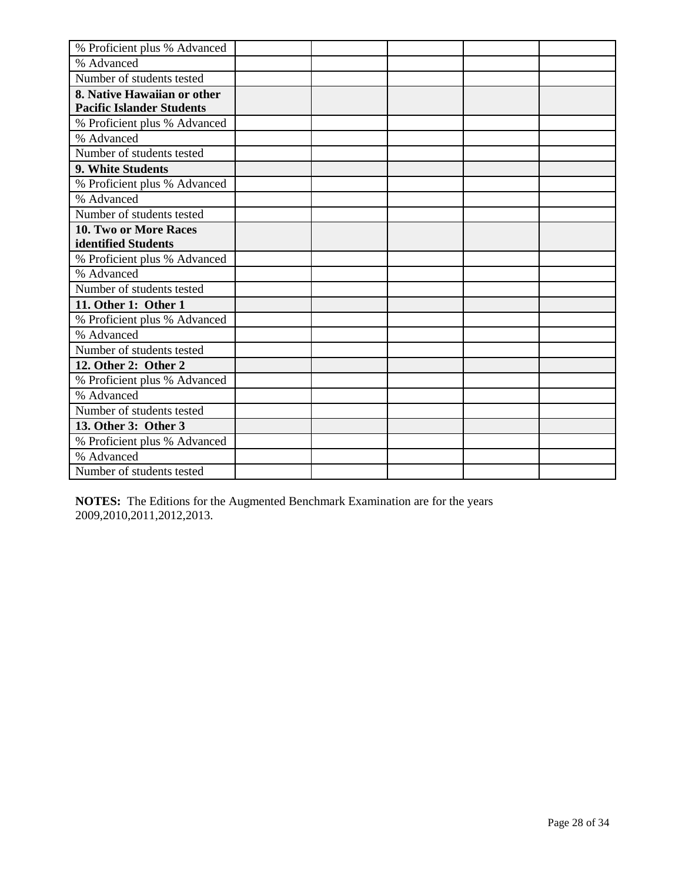| % Proficient plus % Advanced     |  |  |  |
|----------------------------------|--|--|--|
| % Advanced                       |  |  |  |
| Number of students tested        |  |  |  |
| 8. Native Hawaiian or other      |  |  |  |
| <b>Pacific Islander Students</b> |  |  |  |
| % Proficient plus % Advanced     |  |  |  |
| % Advanced                       |  |  |  |
| Number of students tested        |  |  |  |
| 9. White Students                |  |  |  |
| % Proficient plus % Advanced     |  |  |  |
| % Advanced                       |  |  |  |
| Number of students tested        |  |  |  |
| 10. Two or More Races            |  |  |  |
| identified Students              |  |  |  |
| % Proficient plus % Advanced     |  |  |  |
| % Advanced                       |  |  |  |
| Number of students tested        |  |  |  |
| 11. Other 1: Other 1             |  |  |  |
| % Proficient plus % Advanced     |  |  |  |
| % Advanced                       |  |  |  |
| Number of students tested        |  |  |  |
| 12. Other 2: Other 2             |  |  |  |
| % Proficient plus % Advanced     |  |  |  |
| % Advanced                       |  |  |  |
| Number of students tested        |  |  |  |
| 13. Other 3: Other 3             |  |  |  |
| % Proficient plus % Advanced     |  |  |  |
| % Advanced                       |  |  |  |
| Number of students tested        |  |  |  |

**NOTES:** The Editions for the Augmented Benchmark Examination are for the years 2009,2010,2011,2012,2013.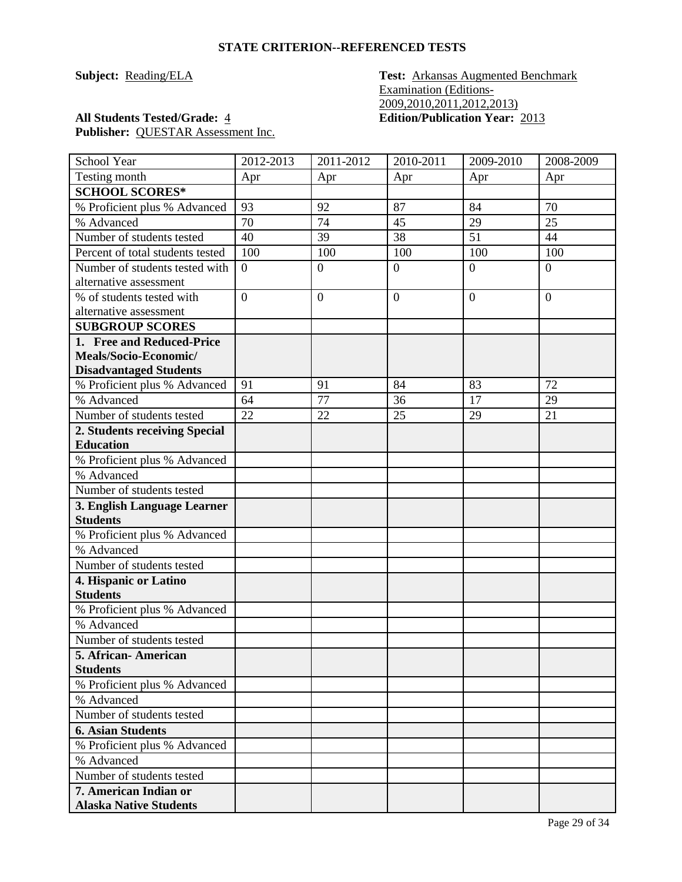**Subject: Reading/ELA Test: Arkansas Augmented Benchmark** Examination (Editions-2009,2010,2011,2012,2013) **All Students Tested/Grade:** 4 **Edition/Publication Year:** 2013

| School Year                            | 2012-2013      | 2011-2012        | 2010-2011      | 2009-2010      | 2008-2009      |
|----------------------------------------|----------------|------------------|----------------|----------------|----------------|
| Testing month                          | Apr            | Apr              | Apr            | Apr            | Apr            |
| <b>SCHOOL SCORES*</b>                  |                |                  |                |                |                |
| % Proficient plus % Advanced           | 93             | 92               | 87             | 84             | 70             |
| % Advanced                             | 70             | 74               | 45             | 29             | 25             |
| Number of students tested              | 40             | 39               | 38             | 51             | 44             |
| Percent of total students tested       | 100            | 100              | 100            | 100            | 100            |
| Number of students tested with         | $\overline{0}$ | $\overline{0}$   | $\overline{0}$ | $\overline{0}$ | $\overline{0}$ |
| alternative assessment                 |                |                  |                |                |                |
| % of students tested with              | $\overline{0}$ | $\boldsymbol{0}$ | $\overline{0}$ | $\overline{0}$ | $\theta$       |
| alternative assessment                 |                |                  |                |                |                |
| <b>SUBGROUP SCORES</b>                 |                |                  |                |                |                |
| 1. Free and Reduced-Price              |                |                  |                |                |                |
| Meals/Socio-Economic/                  |                |                  |                |                |                |
| <b>Disadvantaged Students</b>          |                |                  |                |                |                |
| % Proficient plus % Advanced           | 91             | 91               | 84             | 83             | 72             |
| % Advanced                             | 64             | 77               | 36             | 17             | 29             |
| Number of students tested              | 22             | 22               | 25             | 29             | 21             |
| 2. Students receiving Special          |                |                  |                |                |                |
| <b>Education</b>                       |                |                  |                |                |                |
| % Proficient plus % Advanced           |                |                  |                |                |                |
| % Advanced                             |                |                  |                |                |                |
| Number of students tested              |                |                  |                |                |                |
| 3. English Language Learner            |                |                  |                |                |                |
| <b>Students</b>                        |                |                  |                |                |                |
| % Proficient plus % Advanced           |                |                  |                |                |                |
| % Advanced                             |                |                  |                |                |                |
| Number of students tested              |                |                  |                |                |                |
| 4. Hispanic or Latino                  |                |                  |                |                |                |
| <b>Students</b>                        |                |                  |                |                |                |
| % Proficient plus % Advanced           |                |                  |                |                |                |
| % Advanced                             |                |                  |                |                |                |
| Number of students tested              |                |                  |                |                |                |
| 5. African-American<br><b>Students</b> |                |                  |                |                |                |
| % Proficient plus % Advanced           |                |                  |                |                |                |
| % Advanced                             |                |                  |                |                |                |
| Number of students tested              |                |                  |                |                |                |
| <b>6. Asian Students</b>               |                |                  |                |                |                |
| % Proficient plus % Advanced           |                |                  |                |                |                |
| % Advanced                             |                |                  |                |                |                |
| Number of students tested              |                |                  |                |                |                |
| 7. American Indian or                  |                |                  |                |                |                |
| <b>Alaska Native Students</b>          |                |                  |                |                |                |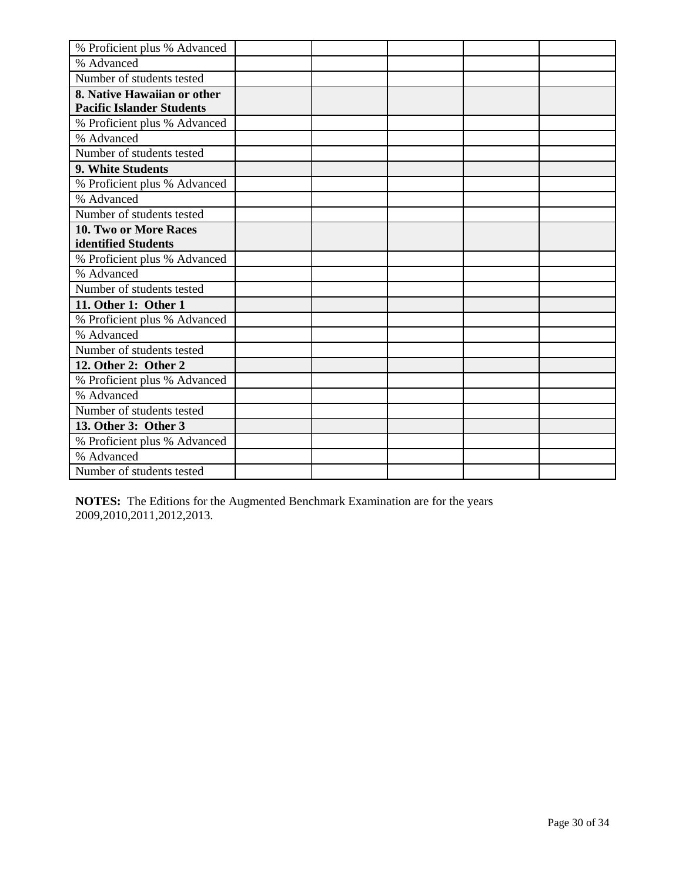| % Proficient plus % Advanced     |  |  |  |
|----------------------------------|--|--|--|
| % Advanced                       |  |  |  |
| Number of students tested        |  |  |  |
| 8. Native Hawaiian or other      |  |  |  |
| <b>Pacific Islander Students</b> |  |  |  |
| % Proficient plus % Advanced     |  |  |  |
| % Advanced                       |  |  |  |
| Number of students tested        |  |  |  |
| 9. White Students                |  |  |  |
| % Proficient plus % Advanced     |  |  |  |
| % Advanced                       |  |  |  |
| Number of students tested        |  |  |  |
| 10. Two or More Races            |  |  |  |
| identified Students              |  |  |  |
| % Proficient plus % Advanced     |  |  |  |
| % Advanced                       |  |  |  |
| Number of students tested        |  |  |  |
| 11. Other 1: Other 1             |  |  |  |
| % Proficient plus % Advanced     |  |  |  |
| % Advanced                       |  |  |  |
| Number of students tested        |  |  |  |
| 12. Other 2: Other 2             |  |  |  |
| % Proficient plus % Advanced     |  |  |  |
| % Advanced                       |  |  |  |
| Number of students tested        |  |  |  |
| 13. Other 3: Other 3             |  |  |  |
| % Proficient plus % Advanced     |  |  |  |
| % Advanced                       |  |  |  |
| Number of students tested        |  |  |  |

**NOTES:** The Editions for the Augmented Benchmark Examination are for the years 2009,2010,2011,2012,2013.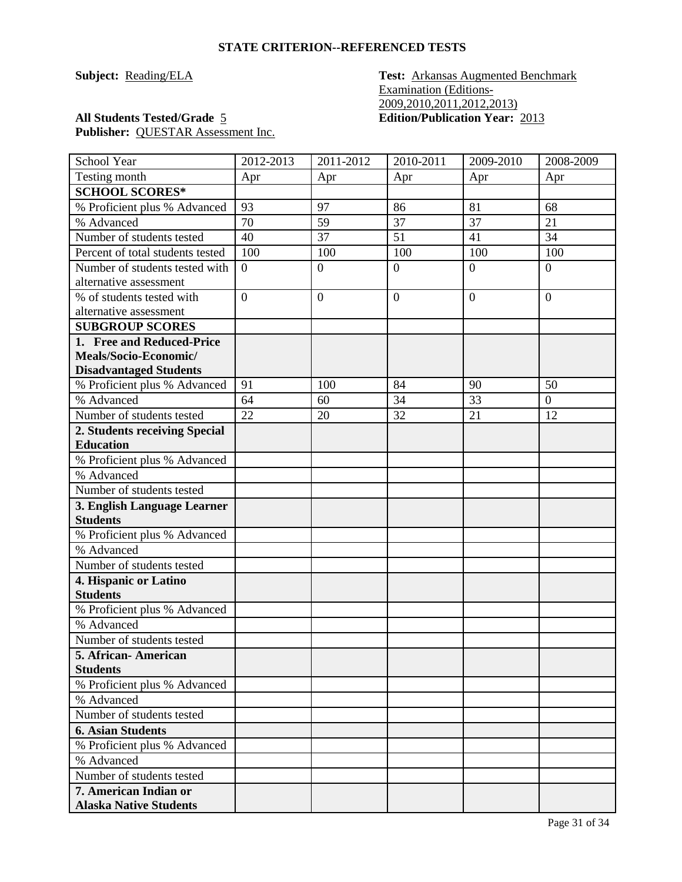**Subject:** Reading/ELA **Test:** Arkansas Augmented Benchmark Examination (Editions-2009,2010,2011,2012,2013) **All Students Tested/Grade** 5 **Edition/Publication Year:** 2013

| School Year                              | 2012-2013      | 2011-2012      | 2010-2011      | 2009-2010      | 2008-2009        |
|------------------------------------------|----------------|----------------|----------------|----------------|------------------|
| Testing month                            | Apr            | Apr            | Apr            | Apr            | Apr              |
| <b>SCHOOL SCORES*</b>                    |                |                |                |                |                  |
| % Proficient plus % Advanced             | 93             | 97             | 86             | 81             | 68               |
| % Advanced                               | 70             | 59             | 37             | 37             | 21               |
| Number of students tested                | 40             | 37             | 51             | 41             | 34               |
| Percent of total students tested         | 100            | 100            | 100            | 100            | 100              |
| Number of students tested with           | $\overline{0}$ | $\overline{0}$ | $\overline{0}$ | $\overline{0}$ | $\overline{0}$   |
| alternative assessment                   |                |                |                |                |                  |
| % of students tested with                | $\overline{0}$ | $\mathbf{0}$   | $\overline{0}$ | $\theta$       | $\overline{0}$   |
| alternative assessment                   |                |                |                |                |                  |
| <b>SUBGROUP SCORES</b>                   |                |                |                |                |                  |
| 1. Free and Reduced-Price                |                |                |                |                |                  |
| Meals/Socio-Economic/                    |                |                |                |                |                  |
| <b>Disadvantaged Students</b>            |                |                |                |                |                  |
| % Proficient plus % Advanced             | 91             | 100            | 84             | 90             | 50               |
| % Advanced                               | 64             | 60             | 34             | 33             | $\boldsymbol{0}$ |
| Number of students tested                | 22             | 20             | 32             | 21             | 12               |
| 2. Students receiving Special            |                |                |                |                |                  |
| <b>Education</b>                         |                |                |                |                |                  |
| % Proficient plus % Advanced             |                |                |                |                |                  |
| % Advanced                               |                |                |                |                |                  |
| Number of students tested                |                |                |                |                |                  |
| 3. English Language Learner              |                |                |                |                |                  |
| <b>Students</b>                          |                |                |                |                |                  |
| % Proficient plus % Advanced             |                |                |                |                |                  |
| % Advanced<br>Number of students tested  |                |                |                |                |                  |
|                                          |                |                |                |                |                  |
| 4. Hispanic or Latino<br><b>Students</b> |                |                |                |                |                  |
| % Proficient plus % Advanced             |                |                |                |                |                  |
| % Advanced                               |                |                |                |                |                  |
| Number of students tested                |                |                |                |                |                  |
| 5. African- American                     |                |                |                |                |                  |
| <b>Students</b>                          |                |                |                |                |                  |
| % Proficient plus % Advanced             |                |                |                |                |                  |
| % Advanced                               |                |                |                |                |                  |
| Number of students tested                |                |                |                |                |                  |
| <b>6. Asian Students</b>                 |                |                |                |                |                  |
| % Proficient plus % Advanced             |                |                |                |                |                  |
| % Advanced                               |                |                |                |                |                  |
| Number of students tested                |                |                |                |                |                  |
| 7. American Indian or                    |                |                |                |                |                  |
| <b>Alaska Native Students</b>            |                |                |                |                |                  |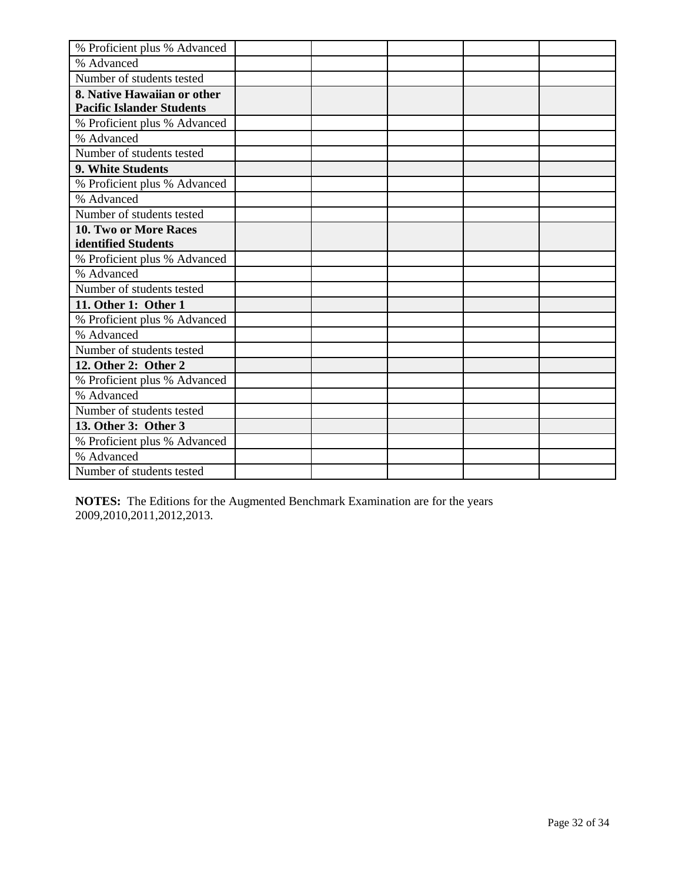| % Proficient plus % Advanced     |  |  |  |
|----------------------------------|--|--|--|
| % Advanced                       |  |  |  |
| Number of students tested        |  |  |  |
| 8. Native Hawaiian or other      |  |  |  |
| <b>Pacific Islander Students</b> |  |  |  |
| % Proficient plus % Advanced     |  |  |  |
| % Advanced                       |  |  |  |
| Number of students tested        |  |  |  |
| 9. White Students                |  |  |  |
| % Proficient plus % Advanced     |  |  |  |
| % Advanced                       |  |  |  |
| Number of students tested        |  |  |  |
| 10. Two or More Races            |  |  |  |
| identified Students              |  |  |  |
| % Proficient plus % Advanced     |  |  |  |
| % Advanced                       |  |  |  |
| Number of students tested        |  |  |  |
| 11. Other 1: Other 1             |  |  |  |
| % Proficient plus % Advanced     |  |  |  |
| % Advanced                       |  |  |  |
| Number of students tested        |  |  |  |
| 12. Other 2: Other 2             |  |  |  |
| % Proficient plus % Advanced     |  |  |  |
| % Advanced                       |  |  |  |
| Number of students tested        |  |  |  |
| 13. Other 3: Other 3             |  |  |  |
| % Proficient plus % Advanced     |  |  |  |
| % Advanced                       |  |  |  |
| Number of students tested        |  |  |  |

**NOTES:** The Editions for the Augmented Benchmark Examination are for the years 2009,2010,2011,2012,2013.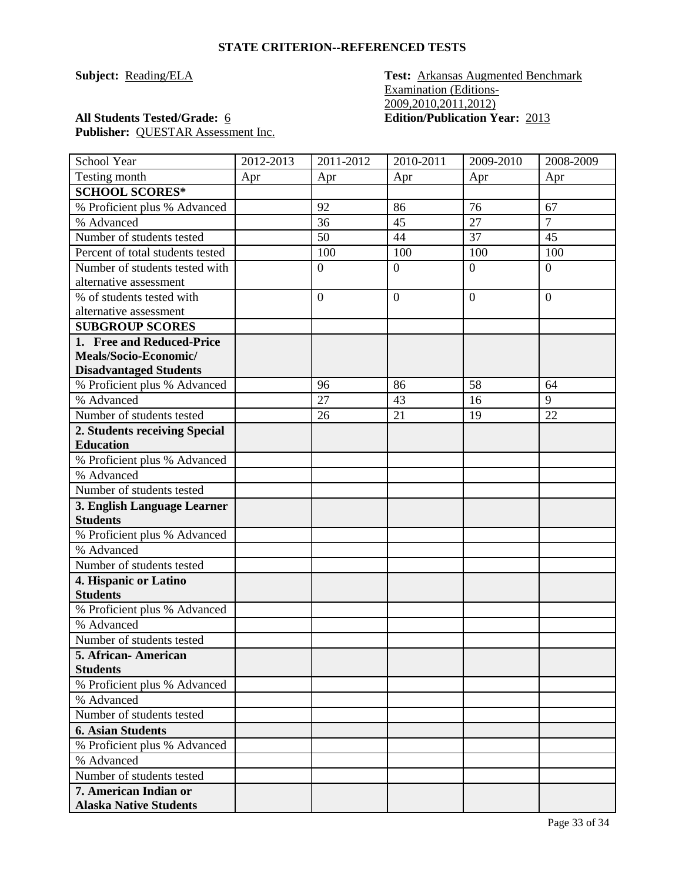**Subject: Reading/ELA Test: Arkansas Augmented Benchmark** Examination (Editions-2009,2010,2011,2012) **All Students Tested/Grade:** 6 **Edition/Publication Year:** 2013

| School Year                                | 2012-2013 | 2011-2012      | 2010-2011      | 2009-2010      | 2008-2009      |
|--------------------------------------------|-----------|----------------|----------------|----------------|----------------|
| Testing month                              | Apr       | Apr            | Apr            | Apr            | Apr            |
| <b>SCHOOL SCORES*</b>                      |           |                |                |                |                |
| % Proficient plus % Advanced               |           | 92             | 86             | 76             | 67             |
| % Advanced                                 |           | 36             | 45             | 27             | $\overline{7}$ |
| Number of students tested                  |           | 50             | 44             | 37             | 45             |
| Percent of total students tested           |           | 100            | 100            | 100            | 100            |
| Number of students tested with             |           | $\mathbf{0}$   | $\overline{0}$ | $\overline{0}$ | $\overline{0}$ |
| alternative assessment                     |           |                |                |                |                |
| % of students tested with                  |           | $\overline{0}$ | $\overline{0}$ | $\overline{0}$ | $\overline{0}$ |
| alternative assessment                     |           |                |                |                |                |
| <b>SUBGROUP SCORES</b>                     |           |                |                |                |                |
| 1. Free and Reduced-Price                  |           |                |                |                |                |
| Meals/Socio-Economic/                      |           |                |                |                |                |
| <b>Disadvantaged Students</b>              |           |                |                |                |                |
| % Proficient plus % Advanced               |           | 96             | 86             | 58             | 64             |
| % Advanced                                 |           | 27             | 43             | 16             | 9              |
| Number of students tested                  |           | 26             | 21             | 19             | 22             |
| 2. Students receiving Special              |           |                |                |                |                |
| <b>Education</b>                           |           |                |                |                |                |
| % Proficient plus % Advanced               |           |                |                |                |                |
| % Advanced                                 |           |                |                |                |                |
| Number of students tested                  |           |                |                |                |                |
| 3. English Language Learner                |           |                |                |                |                |
| <b>Students</b>                            |           |                |                |                |                |
| % Proficient plus % Advanced<br>% Advanced |           |                |                |                |                |
| Number of students tested                  |           |                |                |                |                |
| 4. Hispanic or Latino                      |           |                |                |                |                |
| <b>Students</b>                            |           |                |                |                |                |
| % Proficient plus % Advanced               |           |                |                |                |                |
| % Advanced                                 |           |                |                |                |                |
| Number of students tested                  |           |                |                |                |                |
| 5. African- American                       |           |                |                |                |                |
| <b>Students</b>                            |           |                |                |                |                |
| % Proficient plus % Advanced               |           |                |                |                |                |
| % Advanced                                 |           |                |                |                |                |
| Number of students tested                  |           |                |                |                |                |
| <b>6. Asian Students</b>                   |           |                |                |                |                |
| % Proficient plus % Advanced               |           |                |                |                |                |
| % Advanced                                 |           |                |                |                |                |
| Number of students tested                  |           |                |                |                |                |
| 7. American Indian or                      |           |                |                |                |                |
| <b>Alaska Native Students</b>              |           |                |                |                |                |